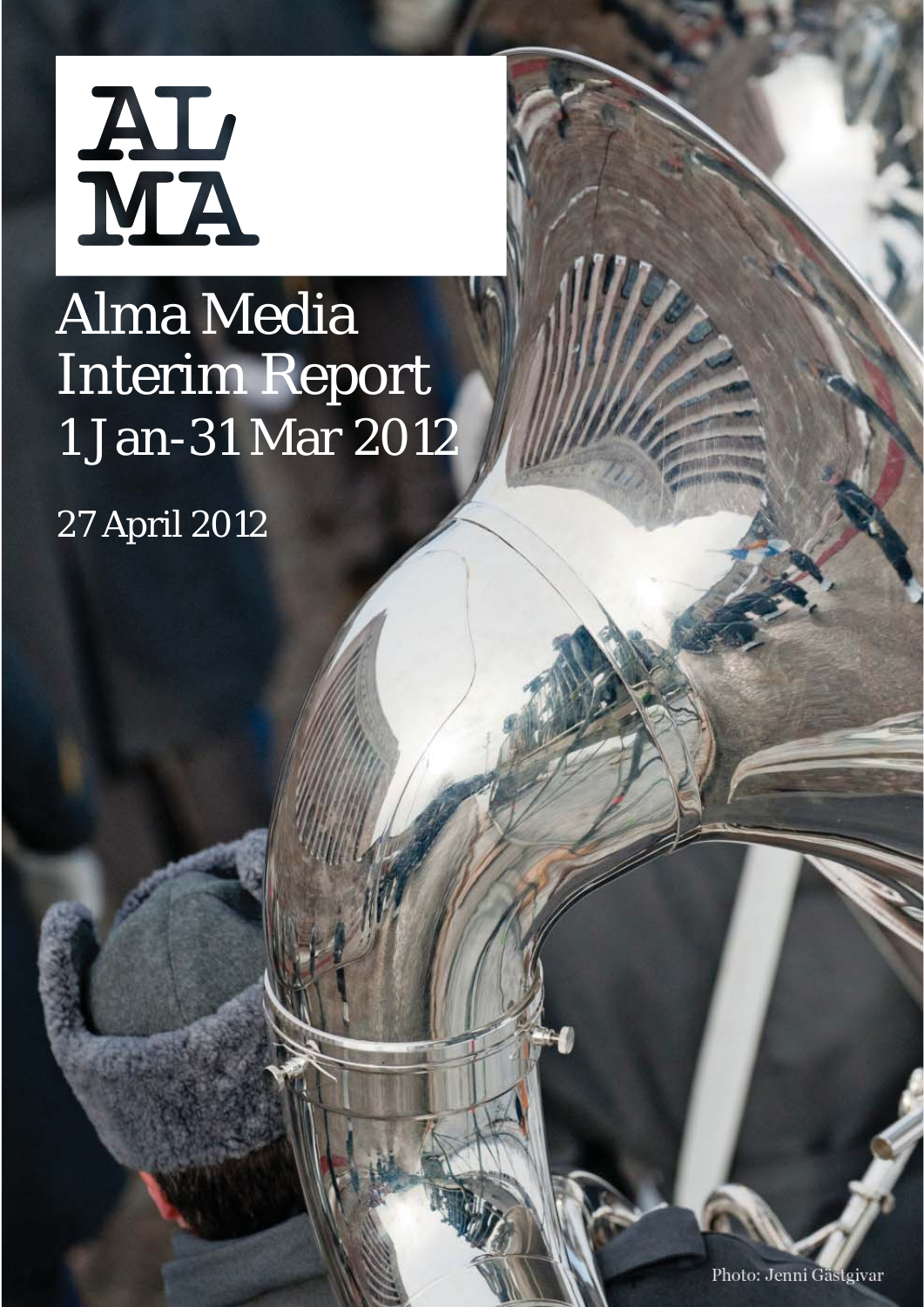

# Alma Media Interim Report 1 Jan-31 Mar 2012

27 April 2012

Photo: Jenni Gästgivar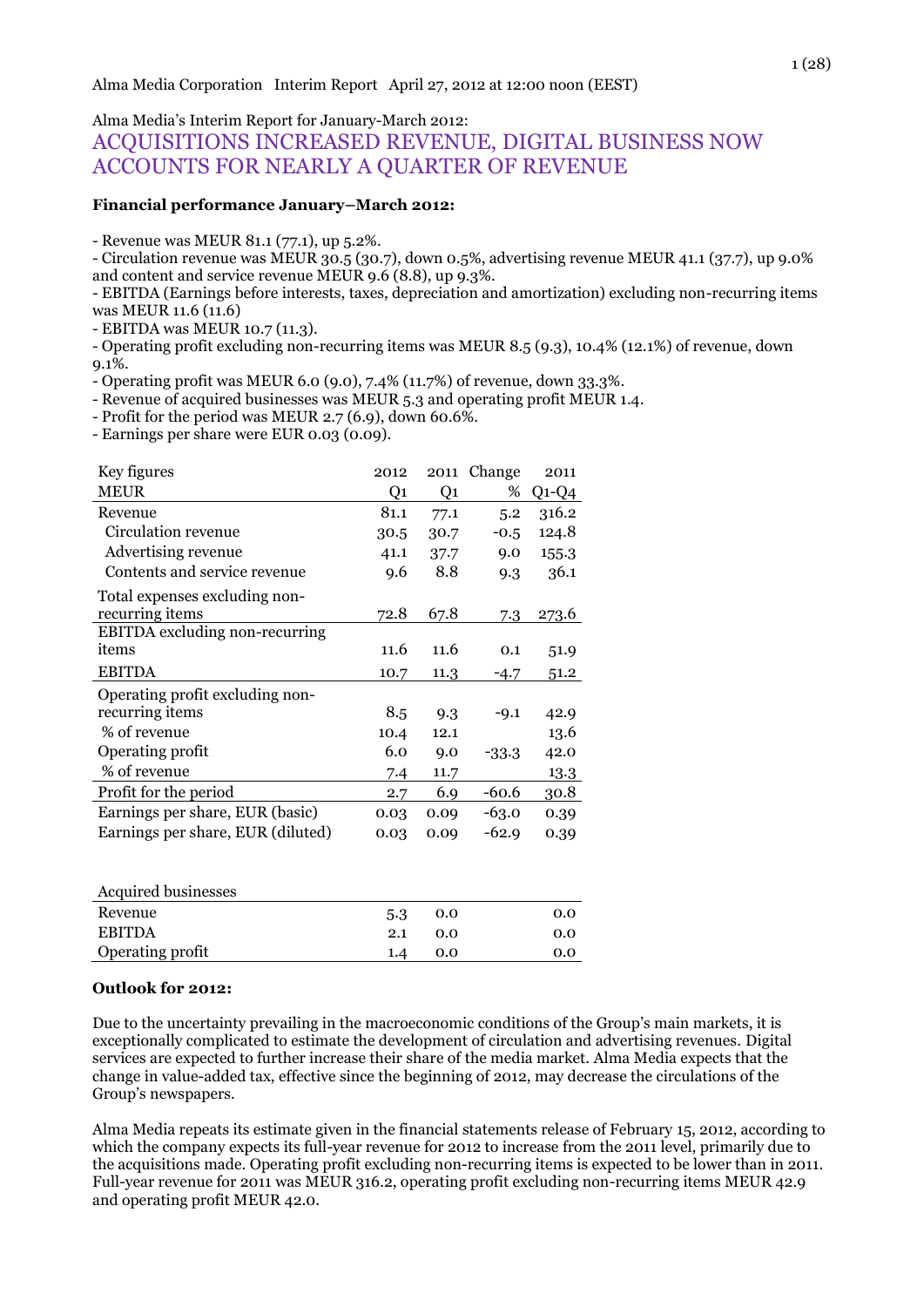Alma Media's Interim Report for January-March 2012:

# ACQUISITIONS INCREASED REVENUE, DIGITAL BUSINESS NOW ACCOUNTS FOR NEARLY A QUARTER OF REVENUE

#### **Financial performance January–March 2012:**

- Revenue was MEUR 81.1 (77.1), up 5.2%.

- Circulation revenue was MEUR 30.5 (30.7), down 0.5%, advertising revenue MEUR 41.1 (37.7), up 9.0% and content and service revenue MEUR 9.6 (8.8), up 9.3%.

- EBITDA (Earnings before interests, taxes, depreciation and amortization) excluding non-recurring items was MEUR 11.6 (11.6)

- EBITDA was MEUR 10.7 (11.3).

- Operating profit excluding non-recurring items was MEUR 8.5 (9.3), 10.4% (12.1%) of revenue, down 9.1%.

- Operating profit was MEUR 6.0 (9.0), 7.4% (11.7%) of revenue, down 33.3%.

- Revenue of acquired businesses was MEUR 5.3 and operating profit MEUR 1.4.

- Profit for the period was MEUR 2.7 (6.9), down 60.6%.

- Earnings per share were EUR 0.03 (0.09).

| Key figures                       | 2012 |      | 2011 Change | 2011    |
|-----------------------------------|------|------|-------------|---------|
| <b>MEUR</b>                       | Q1   | Q1   | %           | $Q1-Q4$ |
| Revenue                           | 81.1 | 77.1 | 5.2         | 316.2   |
| Circulation revenue               | 30.5 | 30.7 | $-0.5$      | 124.8   |
| Advertising revenue               | 41.1 | 37.7 | 9.0         | 155.3   |
| Contents and service revenue      | 9.6  | 8.8  | 9.3         | 36.1    |
| Total expenses excluding non-     |      |      |             |         |
| recurring items                   | 72.8 | 67.8 | 7.3         | 273.6   |
| EBITDA excluding non-recurring    |      |      |             |         |
| items                             | 11.6 | 11.6 | 0.1         | 51.9    |
| <b>EBITDA</b>                     | 10.7 | 11.3 | $-4.7$      | 51.2    |
| Operating profit excluding non-   |      |      |             |         |
| recurring items                   | 8.5  | 9.3  | $-9.1$      | 42.9    |
| % of revenue                      | 10.4 | 12.1 |             | 13.6    |
| Operating profit                  | 6.0  | 9.0  | $-33.3$     | 42.0    |
| % of revenue                      | 7.4  | 11.7 |             | 13.3    |
| Profit for the period             | 2.7  | 6.9  | $-60.6$     | 30.8    |
| Earnings per share, EUR (basic)   | 0.03 | 0.09 | $-63.0$     | 0.39    |
| Earnings per share, EUR (diluted) | 0.03 | 0.09 | $-62.9$     | 0.39    |
|                                   |      |      |             |         |

| <b>Acquired businesses</b> |     |     |     |
|----------------------------|-----|-----|-----|
| Revenue                    | 5.3 | 0.0 | 0.0 |
| <b>ERITDA</b>              | 2.1 | 0.0 | 0.0 |
| Operating profit           | 1.4 | 0.0 | 0.0 |
|                            |     |     |     |

#### **Outlook for 2012:**

Due to the uncertainty prevailing in the macroeconomic conditions of the Group's main markets, it is exceptionally complicated to estimate the development of circulation and advertising revenues. Digital services are expected to further increase their share of the media market. Alma Media expects that the change in value-added tax, effective since the beginning of 2012, may decrease the circulations of the Group's newspapers.

Alma Media repeats its estimate given in the financial statements release of February 15, 2012, according to which the company expects its full-year revenue for 2012 to increase from the 2011 level, primarily due to the acquisitions made. Operating profit excluding non-recurring items is expected to be lower than in 2011. Full-year revenue for 2011 was MEUR 316.2, operating profit excluding non-recurring items MEUR 42.9 and operating profit MEUR 42.0.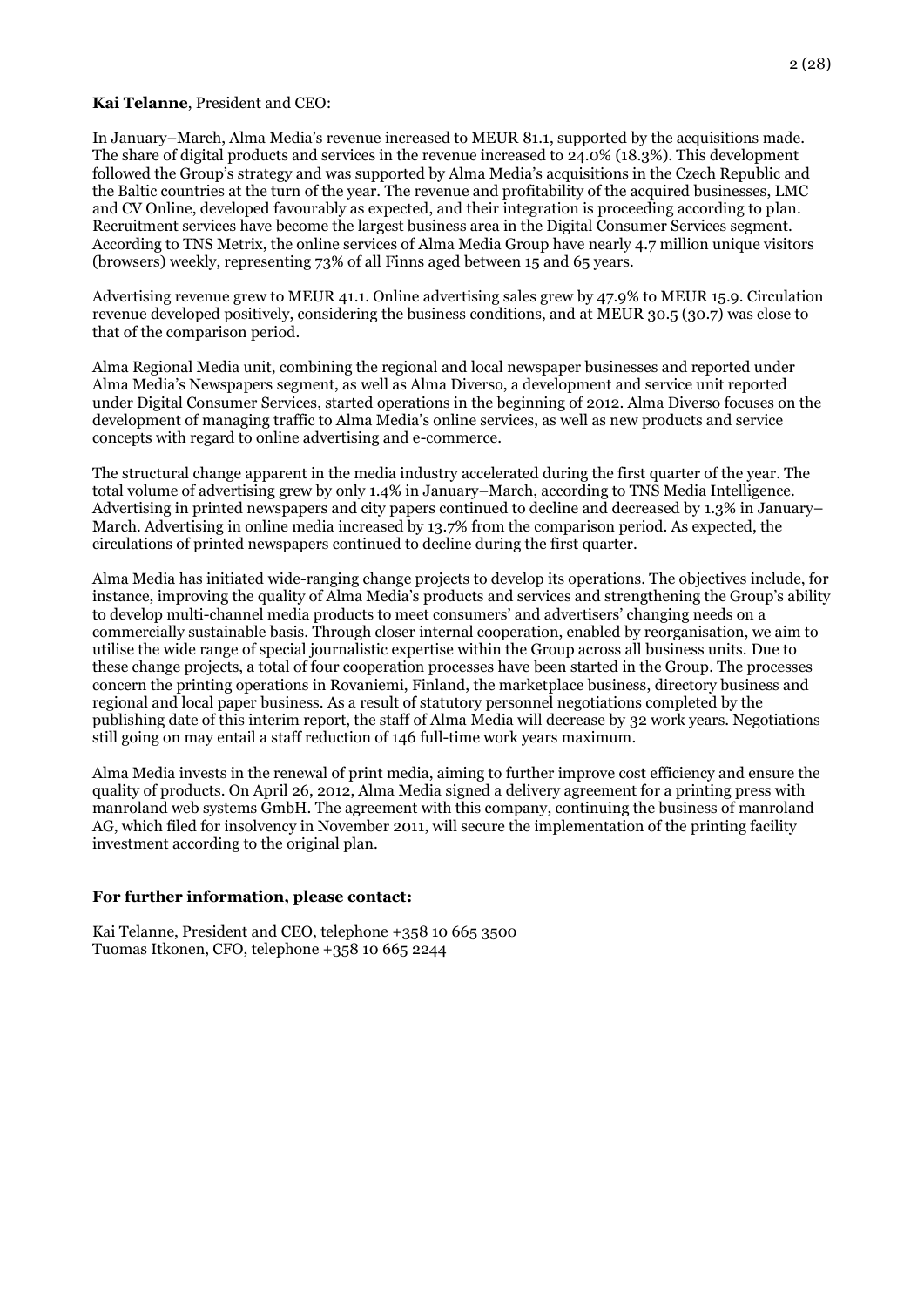#### **Kai Telanne**, President and CEO:

In January–March, Alma Media's revenue increased to MEUR 81.1, supported by the acquisitions made. The share of digital products and services in the revenue increased to 24.0% (18.3%). This development followed the Group's strategy and was supported by Alma Media's acquisitions in the Czech Republic and the Baltic countries at the turn of the year. The revenue and profitability of the acquired businesses, LMC and CV Online, developed favourably as expected, and their integration is proceeding according to plan. Recruitment services have become the largest business area in the Digital Consumer Services segment. According to TNS Metrix, the online services of Alma Media Group have nearly 4.7 million unique visitors (browsers) weekly, representing 73% of all Finns aged between 15 and 65 years.

Advertising revenue grew to MEUR 41.1. Online advertising sales grew by 47.9% to MEUR 15.9. Circulation revenue developed positively, considering the business conditions, and at MEUR 30.5 (30.7) was close to that of the comparison period.

Alma Regional Media unit, combining the regional and local newspaper businesses and reported under Alma Media's Newspapers segment, as well as Alma Diverso, a development and service unit reported under Digital Consumer Services, started operations in the beginning of 2012. Alma Diverso focuses on the development of managing traffic to Alma Media's online services, as well as new products and service concepts with regard to online advertising and e-commerce.

The structural change apparent in the media industry accelerated during the first quarter of the year. The total volume of advertising grew by only 1.4% in January–March, according to TNS Media Intelligence. Advertising in printed newspapers and city papers continued to decline and decreased by 1.3% in January– March. Advertising in online media increased by 13.7% from the comparison period. As expected, the circulations of printed newspapers continued to decline during the first quarter.

Alma Media has initiated wide-ranging change projects to develop its operations. The objectives include, for instance, improving the quality of Alma Media's products and services and strengthening the Group's ability to develop multi-channel media products to meet consumers' and advertisers' changing needs on a commercially sustainable basis. Through closer internal cooperation, enabled by reorganisation, we aim to utilise the wide range of special journalistic expertise within the Group across all business units. Due to these change projects, a total of four cooperation processes have been started in the Group. The processes concern the printing operations in Rovaniemi, Finland, the marketplace business, directory business and regional and local paper business. As a result of statutory personnel negotiations completed by the publishing date of this interim report, the staff of Alma Media will decrease by 32 work years. Negotiations still going on may entail a staff reduction of 146 full-time work years maximum.

Alma Media invests in the renewal of print media, aiming to further improve cost efficiency and ensure the quality of products. On April 26, 2012, Alma Media signed a delivery agreement for a printing press with manroland web systems GmbH. The agreement with this company, continuing the business of manroland AG, which filed for insolvency in November 2011, will secure the implementation of the printing facility investment according to the original plan.

#### **For further information, please contact:**

Kai Telanne, President and CEO, telephone +358 10 665 3500 Tuomas Itkonen, CFO, telephone +358 10 665 2244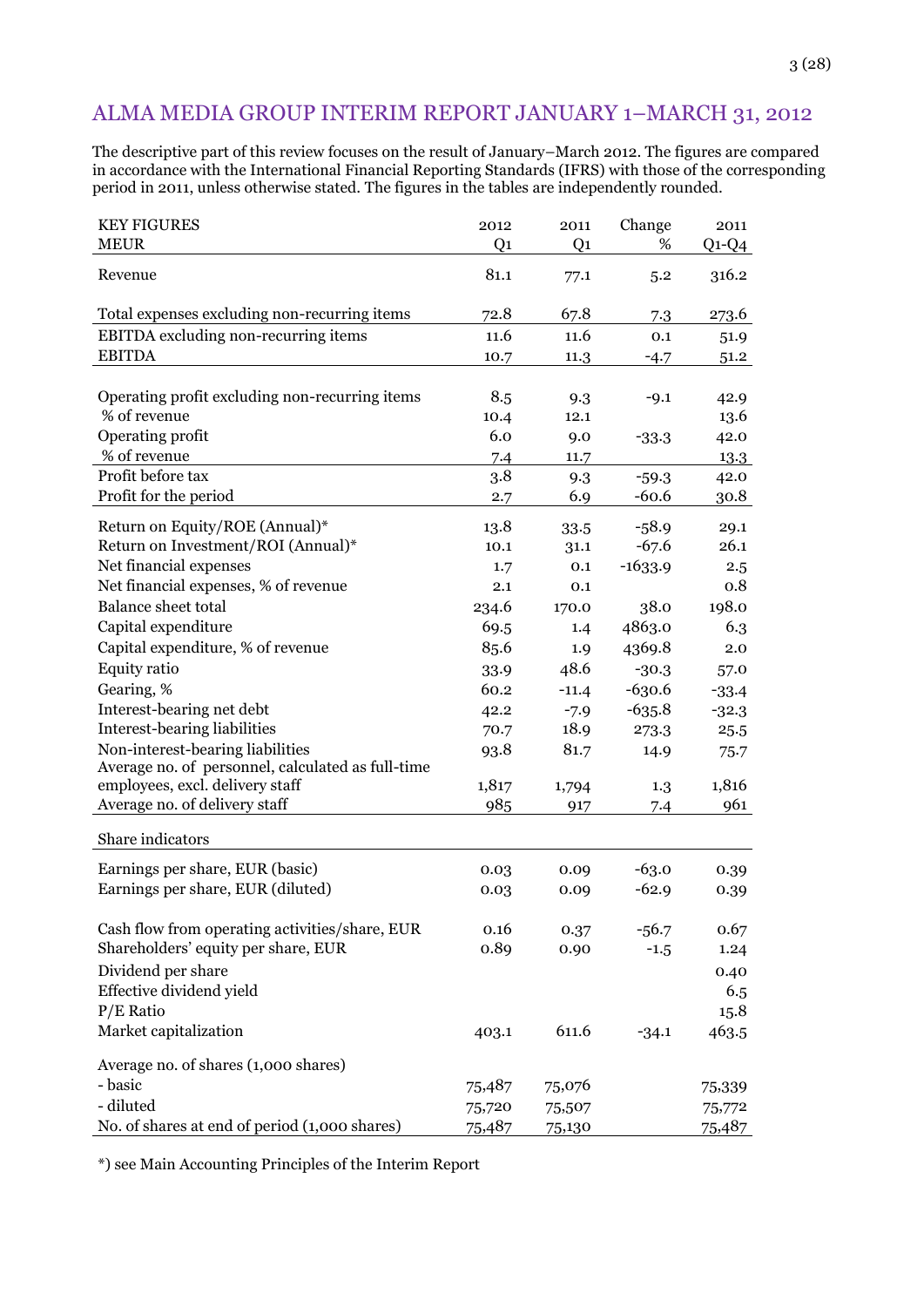# ALMA MEDIA GROUP INTERIM REPORT JANUARY 1–MARCH 31, 2012

The descriptive part of this review focuses on the result of January–March 2012. The figures are compared in accordance with the International Financial Reporting Standards (IFRS) with those of the corresponding period in 2011, unless otherwise stated. The figures in the tables are independently rounded.

| <b>KEY FIGURES</b>                                | 2012           | 2011           | Change    | 2011    |
|---------------------------------------------------|----------------|----------------|-----------|---------|
| <b>MEUR</b>                                       | Q <sub>1</sub> | Q <sub>1</sub> | %         | $Q1-Q4$ |
| Revenue                                           | 81.1           | 77.1           | 5.2       | 316.2   |
| Total expenses excluding non-recurring items      | 72.8           | 67.8           | 7.3       | 273.6   |
| EBITDA excluding non-recurring items              | 11.6           | 11.6           | 0.1       | 51.9    |
| <b>EBITDA</b>                                     | 10.7           | 11.3           | $-4.7$    | 51.2    |
|                                                   |                |                |           |         |
| Operating profit excluding non-recurring items    | 8.5            | 9.3            | $-9.1$    | 42.9    |
| % of revenue                                      | 10.4           | 12.1           |           | 13.6    |
| Operating profit                                  | 6.0            | 9.0            | $-33.3$   | 42.0    |
| % of revenue                                      | 7.4            | 11.7           |           | 13.3    |
| Profit before tax                                 | 3.8            | 9.3            | $-59.3$   | 42.0    |
| Profit for the period                             | 2.7            | 6.9            | $-60.6$   | 30.8    |
| Return on Equity/ROE (Annual)*                    | 13.8           | 33.5           | $-58.9$   | 29.1    |
| Return on Investment/ROI (Annual)*                | 10.1           | 31.1           | $-67.6$   | 26.1    |
| Net financial expenses                            | 1.7            | 0.1            | $-1633.9$ | 2.5     |
| Net financial expenses, % of revenue              | 2.1            | 0.1            |           | 0.8     |
| <b>Balance sheet total</b>                        | 234.6          | 170.0          | 38.0      | 198.0   |
| Capital expenditure                               | 69.5           | 1.4            | 4863.0    | 6.3     |
| Capital expenditure, % of revenue                 | 85.6           | 1.9            | 4369.8    | 2.0     |
| <b>Equity ratio</b>                               | 33.9           | 48.6           | $-30.3$   | 57.0    |
| Gearing, %                                        | 60.2           | $-11.4$        | $-630.6$  | $-33.4$ |
| Interest-bearing net debt                         | 42.2           | $-7.9$         | $-635.8$  | $-32.3$ |
| Interest-bearing liabilities                      | 70.7           | 18.9           | 273.3     | 25.5    |
| Non-interest-bearing liabilities                  | 93.8           | 81.7           | 14.9      | 75.7    |
| Average no. of personnel, calculated as full-time |                |                |           |         |
| employees, excl. delivery staff                   | 1,817          | 1,794          | 1.3       | 1,816   |
| Average no. of delivery staff                     | 985            | 917            | 7.4       | 961     |
| Share indicators                                  |                |                |           |         |
| Earnings per share, EUR (basic)                   | 0.03           | 0.09           | $-63.0$   | 0.39    |
| Earnings per share, EUR (diluted)                 | 0.03           | 0.09           | $-62.9$   | 0.39    |
|                                                   |                |                |           |         |
| Cash flow from operating activities/share, EUR    | 0.16           | 0.37           | $-56.7$   | 0.67    |
| Shareholders' equity per share, EUR               | 0.89           | 0.90           | $-1.5$    | 1.24    |
| Dividend per share                                |                |                |           | 0.40    |
| Effective dividend yield                          |                |                |           | 6.5     |
| $P/E$ Ratio                                       |                |                |           | 15.8    |
| Market capitalization                             | 403.1          | 611.6          | $-34.1$   | 463.5   |
| Average no. of shares (1,000 shares)              |                |                |           |         |
| - basic                                           | 75,487         | 75,076         |           | 75,339  |
| - diluted                                         | 75,720         | 75,507         |           | 75,772  |
| No. of shares at end of period (1,000 shares)     | 75,487         | 75,130         |           | 75,487  |

\*) see Main Accounting Principles of the Interim Report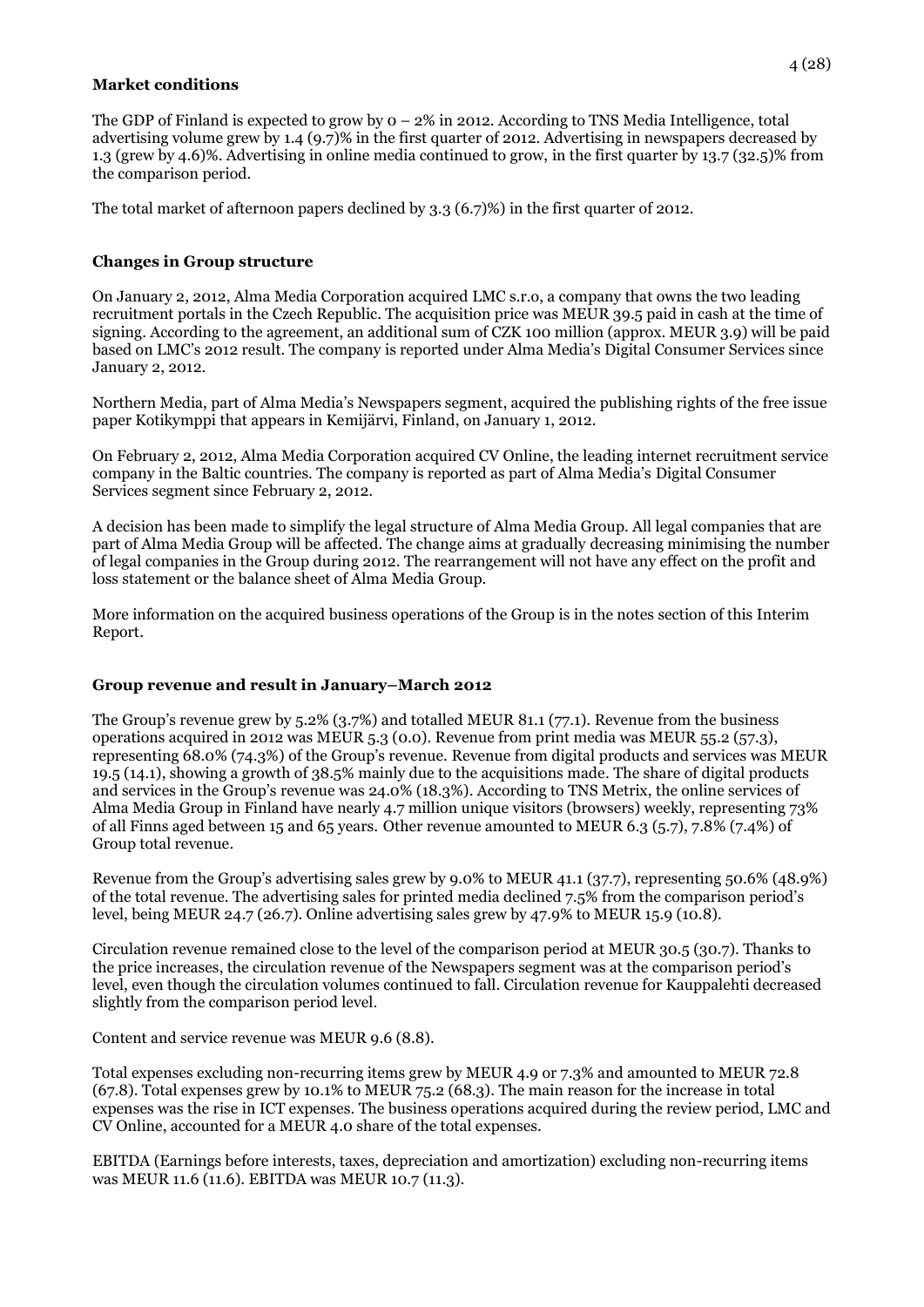#### **Market conditions**

The GDP of Finland is expected to grow by 0 – 2% in 2012. According to TNS Media Intelligence, total advertising volume grew by 1.4 (9.7)% in the first quarter of 2012. Advertising in newspapers decreased by 1.3 (grew by 4.6)%. Advertising in online media continued to grow, in the first quarter by 13.7 (32.5)% from the comparison period.

The total market of afternoon papers declined by 3.3 (6.7)%) in the first quarter of 2012.

# **Changes in Group structure**

On January 2, 2012, Alma Media Corporation acquired LMC s.r.o, a company that owns the two leading recruitment portals in the Czech Republic. The acquisition price was MEUR 39.5 paid in cash at the time of signing. According to the agreement, an additional sum of CZK 100 million (approx. MEUR 3.9) will be paid based on LMC's 2012 result. The company is reported under Alma Media's Digital Consumer Services since January 2, 2012.

Northern Media, part of Alma Media's Newspapers segment, acquired the publishing rights of the free issue paper Kotikymppi that appears in Kemijärvi, Finland, on January 1, 2012.

On February 2, 2012, Alma Media Corporation acquired CV Online, the leading internet recruitment service company in the Baltic countries. The company is reported as part of Alma Media's Digital Consumer Services segment since February 2, 2012.

A decision has been made to simplify the legal structure of Alma Media Group. All legal companies that are part of Alma Media Group will be affected. The change aims at gradually decreasing minimising the number of legal companies in the Group during 2012. The rearrangement will not have any effect on the profit and loss statement or the balance sheet of Alma Media Group.

More information on the acquired business operations of the Group is in the notes section of this Interim Report.

## **Group revenue and result in January–March 2012**

The Group's revenue grew by 5.2% (3.7%) and totalled MEUR 81.1 (77.1). Revenue from the business operations acquired in 2012 was MEUR 5.3 (0.0). Revenue from print media was MEUR 55.2 (57.3), representing 68.0% (74.3%) of the Group's revenue. Revenue from digital products and services was MEUR 19.5 (14.1), showing a growth of 38.5% mainly due to the acquisitions made. The share of digital products and services in the Group's revenue was 24.0% (18.3%). According to TNS Metrix, the online services of Alma Media Group in Finland have nearly 4.7 million unique visitors (browsers) weekly, representing 73% of all Finns aged between 15 and 65 years. Other revenue amounted to MEUR 6.3 (5.7), 7.8% (7.4%) of Group total revenue.

Revenue from the Group's advertising sales grew by 9.0% to MEUR 41.1 (37.7), representing 50.6% (48.9%) of the total revenue. The advertising sales for printed media declined 7.5% from the comparison period's level, being MEUR 24.7 (26.7). Online advertising sales grew by 47.9% to MEUR 15.9 (10.8).

Circulation revenue remained close to the level of the comparison period at MEUR 30.5 (30.7). Thanks to the price increases, the circulation revenue of the Newspapers segment was at the comparison period's level, even though the circulation volumes continued to fall. Circulation revenue for Kauppalehti decreased slightly from the comparison period level.

Content and service revenue was MEUR 9.6 (8.8).

Total expenses excluding non-recurring items grew by MEUR 4.9 or 7.3% and amounted to MEUR 72.8 (67.8). Total expenses grew by 10.1% to MEUR 75.2 (68.3). The main reason for the increase in total expenses was the rise in ICT expenses. The business operations acquired during the review period, LMC and CV Online, accounted for a MEUR 4.0 share of the total expenses.

EBITDA (Earnings before interests, taxes, depreciation and amortization) excluding non-recurring items was MEUR 11.6 (11.6). EBITDA was MEUR 10.7 (11.3).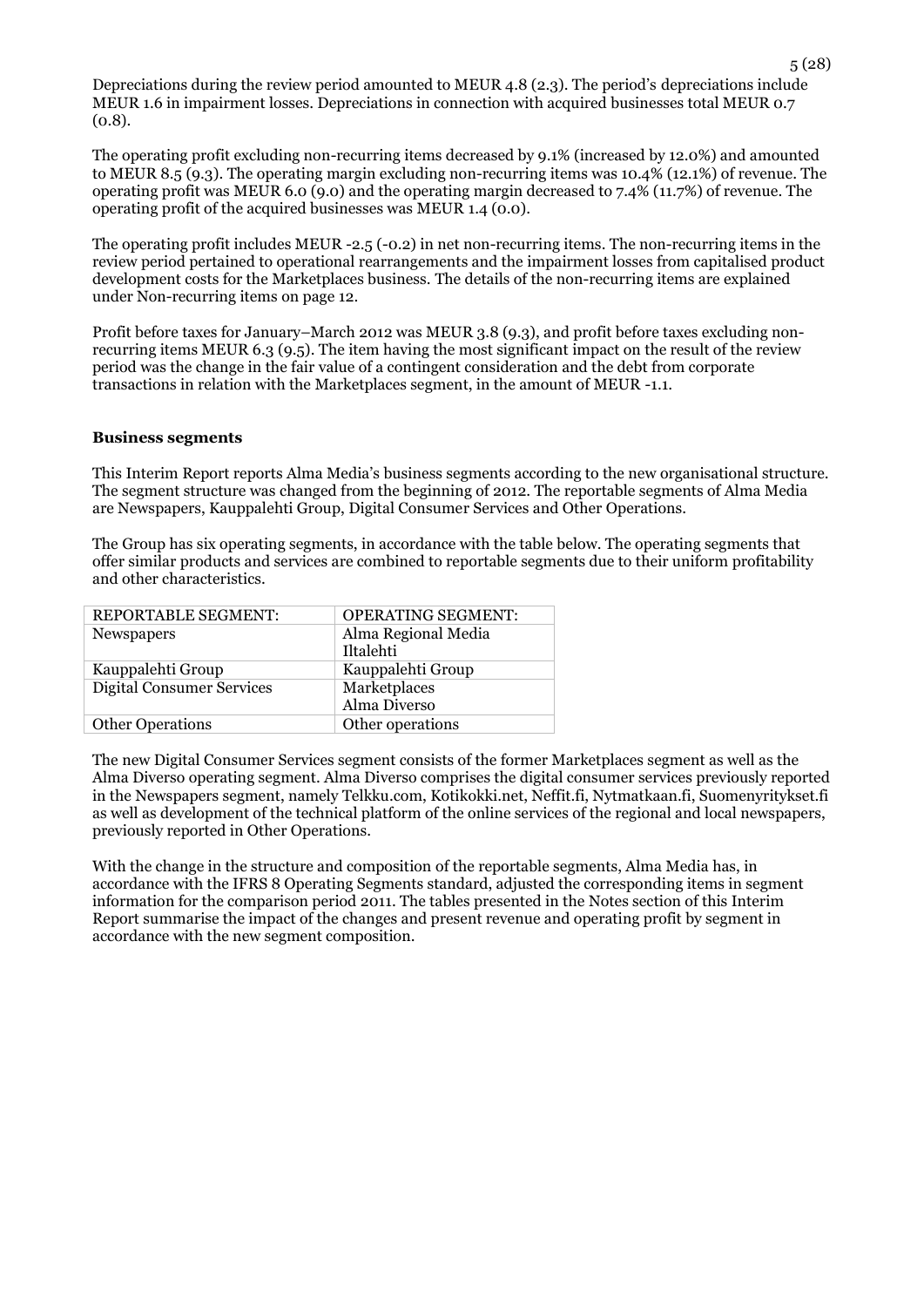Depreciations during the review period amounted to MEUR 4.8 (2.3). The period's depreciations include MEUR 1.6 in impairment losses. Depreciations in connection with acquired businesses total MEUR 0.7 (0.8).

The operating profit excluding non-recurring items decreased by 9.1% (increased by 12.0%) and amounted to MEUR 8.5 (9.3). The operating margin excluding non-recurring items was 10.4% (12.1%) of revenue. The operating profit was MEUR 6.0 (9.0) and the operating margin decreased to 7.4% (11.7%) of revenue. The operating profit of the acquired businesses was MEUR 1.4 (0.0).

The operating profit includes MEUR -2.5 (-0.2) in net non-recurring items. The non-recurring items in the review period pertained to operational rearrangements and the impairment losses from capitalised product development costs for the Marketplaces business. The details of the non-recurring items are explained under Non-recurring items on page 12.

Profit before taxes for January–March 2012 was MEUR 3.8 (9.3), and profit before taxes excluding nonrecurring items MEUR 6.3 (9.5). The item having the most significant impact on the result of the review period was the change in the fair value of a contingent consideration and the debt from corporate transactions in relation with the Marketplaces segment, in the amount of MEUR -1.1.

#### **Business segments**

This Interim Report reports Alma Media's business segments according to the new organisational structure. The segment structure was changed from the beginning of 2012. The reportable segments of Alma Media are Newspapers, Kauppalehti Group, Digital Consumer Services and Other Operations.

The Group has six operating segments, in accordance with the table below. The operating segments that offer similar products and services are combined to reportable segments due to their uniform profitability and other characteristics.

| REPORTABLE SEGMENT:              | <b>OPERATING SEGMENT:</b> |
|----------------------------------|---------------------------|
| <b>Newspapers</b>                | Alma Regional Media       |
|                                  | Iltalehti                 |
| Kauppalehti Group                | Kauppalehti Group         |
| <b>Digital Consumer Services</b> | Marketplaces              |
|                                  | Alma Diverso              |
| <b>Other Operations</b>          | Other operations          |

The new Digital Consumer Services segment consists of the former Marketplaces segment as well as the Alma Diverso operating segment. Alma Diverso comprises the digital consumer services previously reported in the Newspapers segment, namely Telkku.com, Kotikokki.net, Neffit.fi, Nytmatkaan.fi, Suomenyritykset.fi as well as development of the technical platform of the online services of the regional and local newspapers, previously reported in Other Operations.

With the change in the structure and composition of the reportable segments, Alma Media has, in accordance with the IFRS 8 Operating Segments standard, adjusted the corresponding items in segment information for the comparison period 2011. The tables presented in the Notes section of this Interim Report summarise the impact of the changes and present revenue and operating profit by segment in accordance with the new segment composition.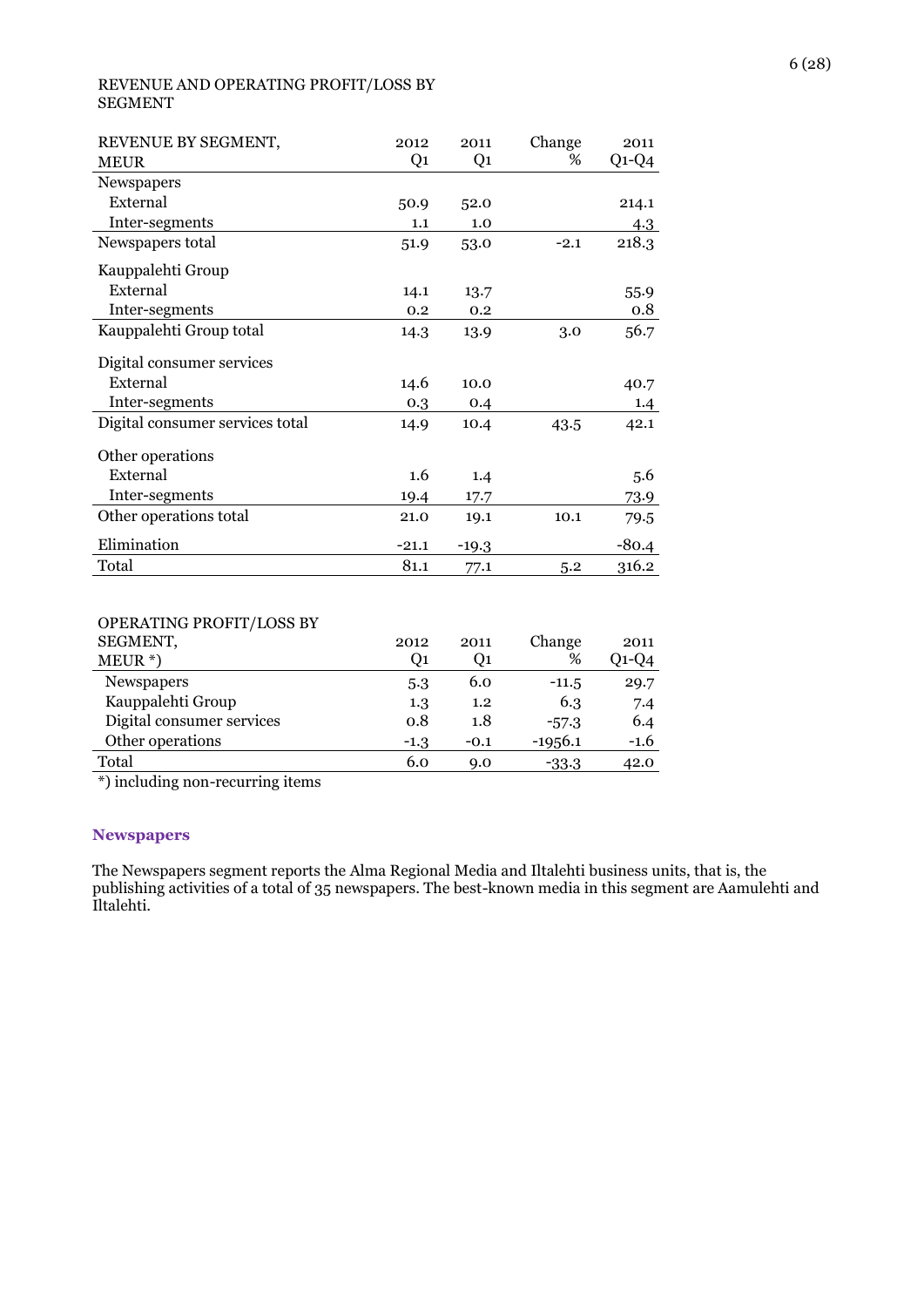#### REVENUE AND OPERATING PROFIT/LOSS BY SEGMENT

| REVENUE BY SEGMENT,             | 2012    | 2011           | Change | 2011    |
|---------------------------------|---------|----------------|--------|---------|
| <b>MEUR</b>                     | Q1      | Q <sub>1</sub> | %      | $Q1-Q4$ |
| Newspapers                      |         |                |        |         |
| External                        | 50.9    | 52.0           |        | 214.1   |
| Inter-segments                  | 1.1     | 1.0            |        | 4.3     |
| Newspapers total                | 51.9    | 53.0           | $-2.1$ | 218.3   |
| Kauppalehti Group               |         |                |        |         |
| External                        | 14.1    | 13.7           |        | 55.9    |
| Inter-segments                  | 0.2     | 0.2            |        | 0.8     |
| Kauppalehti Group total         | 14.3    | 13.9           | 3.0    | 56.7    |
| Digital consumer services       |         |                |        |         |
| External                        | 14.6    | 10.0           |        | 40.7    |
| Inter-segments                  | 0.3     | 0.4            |        | 1.4     |
| Digital consumer services total | 14.9    | 10.4           | 43.5   | 42.1    |
| Other operations                |         |                |        |         |
| External                        | 1.6     | 1.4            |        | 5.6     |
| Inter-segments                  | 19.4    | 17.7           |        | 73.9    |
| Other operations total          | 21.0    | 19.1           | 10.1   | 79.5    |
| Elimination                     | $-21.1$ | $-19.3$        |        | $-80.4$ |
| Total                           | 81.1    | 77.1           | 5.2    | 316.2   |
|                                 |         |                |        |         |
| OPERATING PROFIT/LOSS BY        |         |                |        |         |
| SEGMENT,                        | 2012    | 2011           | Change | 2011    |

| ULUMLINI,                 | 47 I 4 | 4911   | <b>Undust</b> | 2011   |
|---------------------------|--------|--------|---------------|--------|
| $MEUR^*$                  | Ο1     | O1     | %             | Q1-Q4  |
| <b>Newspapers</b>         | 5.3    | 6.0    | $-11.5$       | 29.7   |
| Kauppalehti Group         | 1.3    | 1.2    | 6.3           | 7.4    |
| Digital consumer services | 0.8    | 1.8    | $-57.3$       | 6.4    |
| Other operations          | $-1.3$ | $-0.1$ | $-1956.1$     | $-1.6$ |
| Total                     | 6.0    | 9.0    | $-33.3$       | 42.0   |
|                           |        |        |               |        |

\*) including non-recurring items

#### **Newspapers**

The Newspapers segment reports the Alma Regional Media and Iltalehti business units, that is, the publishing activities of a total of 35 newspapers. The best-known media in this segment are Aamulehti and Iltalehti.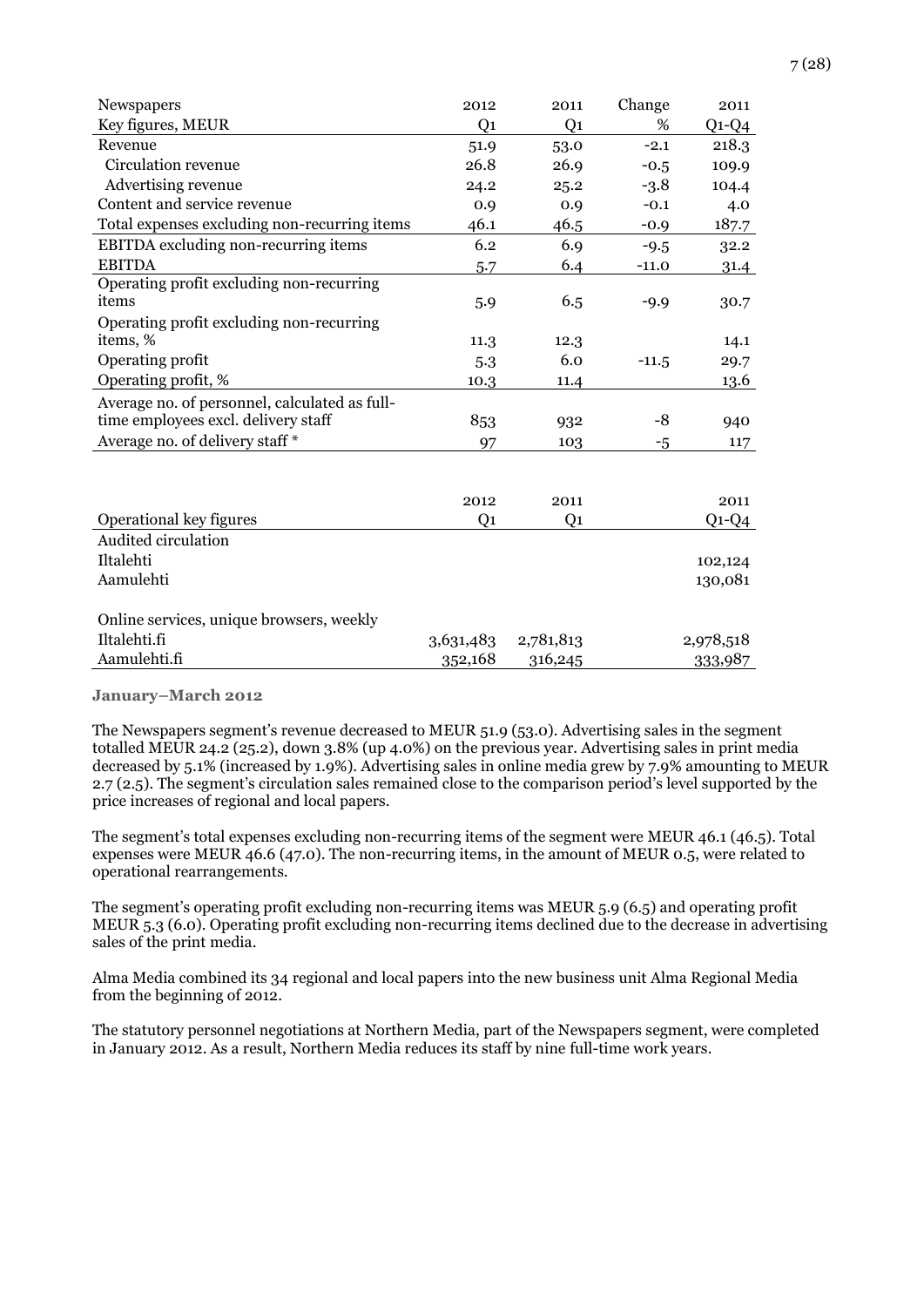| Newspapers                                    | 2012           | 2011           | Change  | 2011      |
|-----------------------------------------------|----------------|----------------|---------|-----------|
| Key figures, MEUR                             | Q <sub>1</sub> | Q <sub>1</sub> | %       | $Q1-Q4$   |
| Revenue                                       | 51.9           | 53.0           | $-2.1$  | 218.3     |
| Circulation revenue                           | 26.8           | 26.9           | $-0.5$  | 109.9     |
| Advertising revenue                           | 24.2           | 25.2           | $-3.8$  | 104.4     |
| Content and service revenue                   | 0.9            | 0.9            | $-0.1$  | 4.0       |
| Total expenses excluding non-recurring items  | 46.1           | 46.5           | $-0.9$  | 187.7     |
| EBITDA excluding non-recurring items          | 6.2            | 6.9            | $-9.5$  | 32.2      |
| <b>EBITDA</b>                                 | 5.7            | 6.4            | $-11.0$ | 31.4      |
| Operating profit excluding non-recurring      |                |                |         |           |
| items                                         | 5.9            | 6.5            | $-9.9$  | 30.7      |
| Operating profit excluding non-recurring      |                |                |         |           |
| items, %                                      | 11.3           | 12.3           |         | 14.1      |
| Operating profit                              | 5.3            | 6.0            | $-11.5$ | 29.7      |
| Operating profit, %                           | 10.3           | 11.4           |         | 13.6      |
| Average no. of personnel, calculated as full- |                |                |         |           |
| time employees excl. delivery staff           | 853            | 932            | -8      | 940       |
| Average no. of delivery staff *               | 97             | 103            | $-5$    | 117       |
|                                               |                |                |         |           |
|                                               |                |                |         |           |
|                                               | 2012           | 2011           |         | 2011      |
| Operational key figures                       | Q <sub>1</sub> | Q <sub>1</sub> |         | $Q1-Q4$   |
| Audited circulation                           |                |                |         |           |
| Iltalehti                                     |                |                |         | 102,124   |
| Aamulehti                                     |                |                |         | 130,081   |
|                                               |                |                |         |           |
| Online services, unique browsers, weekly      |                |                |         |           |
| Iltalehti.fi                                  | 3,631,483      | 2,781,813      |         | 2,978,518 |
| Aamulehti.fi                                  | 352,168        | 316,245        |         | 333,987   |

#### **January–March 2012**

The Newspapers segment's revenue decreased to MEUR 51.9 (53.0). Advertising sales in the segment totalled MEUR 24.2 (25.2), down 3.8% (up 4.0%) on the previous year. Advertising sales in print media decreased by 5.1% (increased by 1.9%). Advertising sales in online media grew by 7.9% amounting to MEUR 2.7 (2.5). The segment's circulation sales remained close to the comparison period's level supported by the price increases of regional and local papers.

The segment's total expenses excluding non-recurring items of the segment were MEUR 46.1 (46.5). Total expenses were MEUR 46.6 (47.0). The non-recurring items, in the amount of MEUR 0.5, were related to operational rearrangements.

The segment's operating profit excluding non-recurring items was MEUR 5.9 (6.5) and operating profit MEUR 5.3 (6.0). Operating profit excluding non-recurring items declined due to the decrease in advertising sales of the print media.

Alma Media combined its 34 regional and local papers into the new business unit Alma Regional Media from the beginning of 2012.

The statutory personnel negotiations at Northern Media, part of the Newspapers segment, were completed in January 2012. As a result, Northern Media reduces its staff by nine full-time work years.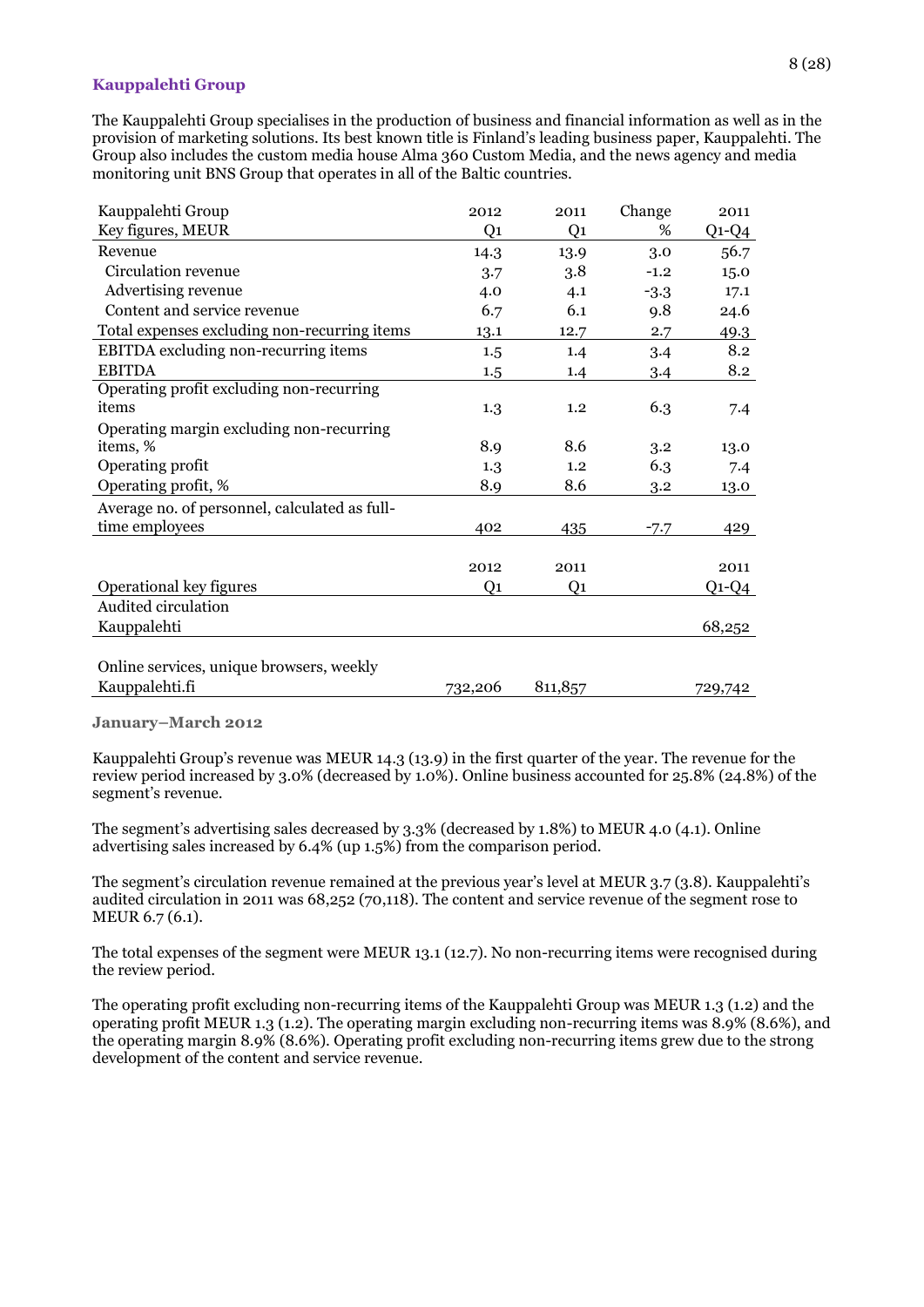#### **Kauppalehti Group**

The Kauppalehti Group specialises in the production of business and financial information as well as in the provision of marketing solutions. Its best known title is Finland's leading business paper, Kauppalehti. The Group also includes the custom media house Alma 360 Custom Media, and the news agency and media monitoring unit BNS Group that operates in all of the Baltic countries.

| Kauppalehti Group                             | 2012           | 2011    | Change | 2011    |
|-----------------------------------------------|----------------|---------|--------|---------|
| Key figures, MEUR                             | Q1             | Q1      | %      | $Q1-Q4$ |
| Revenue                                       | 14.3           | 13.9    | 3.0    | 56.7    |
| Circulation revenue                           | 3.7            | 3.8     | $-1.2$ | 15.0    |
| Advertising revenue                           | 4.0            | 4.1     | $-3.3$ | 17.1    |
| Content and service revenue                   | 6.7            | 6.1     | 9.8    | 24.6    |
| Total expenses excluding non-recurring items  | 13.1           | 12.7    | 2.7    | 49.3    |
| <b>EBITDA</b> excluding non-recurring items   | 1.5            | 1.4     | 3.4    | 8.2     |
| <b>EBITDA</b>                                 | 1.5            | 1.4     | 3.4    | 8.2     |
| Operating profit excluding non-recurring      |                |         |        |         |
| items                                         | 1.3            | 1.2     | 6.3    | 7.4     |
| Operating margin excluding non-recurring      |                |         |        |         |
| items, %                                      | 8.9            | 8.6     | 3.2    | 13.0    |
| Operating profit                              | 1.3            | 1.2     | 6.3    | 7.4     |
| Operating profit, %                           | 8.9            | 8.6     | 3.2    | 13.0    |
| Average no. of personnel, calculated as full- |                |         |        |         |
| time employees                                | 402            | 435     | $-7.7$ | 429     |
|                                               |                |         |        |         |
|                                               | 2012           | 2011    |        | 2011    |
| Operational key figures                       | Q <sub>1</sub> | Q1      |        | $Q1-Q4$ |
| Audited circulation                           |                |         |        |         |
| Kauppalehti                                   |                |         |        | 68,252  |
|                                               |                |         |        |         |
| Online services, unique browsers, weekly      |                |         |        |         |
| Kauppalehti.fi                                | 732,206        | 811,857 |        | 729,742 |

**January–March 2012**

Kauppalehti Group's revenue was MEUR 14.3 (13.9) in the first quarter of the year. The revenue for the review period increased by 3.0% (decreased by 1.0%). Online business accounted for 25.8% (24.8%) of the segment's revenue.

The segment's advertising sales decreased by 3.3% (decreased by 1.8%) to MEUR 4.0 (4.1). Online advertising sales increased by 6.4% (up 1.5%) from the comparison period.

The segment's circulation revenue remained at the previous year's level at MEUR 3.7 (3.8). Kauppalehti's audited circulation in 2011 was 68,252 (70,118). The content and service revenue of the segment rose to MEUR 6.7 (6.1).

The total expenses of the segment were MEUR 13.1 (12.7). No non-recurring items were recognised during the review period.

The operating profit excluding non-recurring items of the Kauppalehti Group was MEUR 1.3 (1.2) and the operating profit MEUR 1.3 (1.2). The operating margin excluding non-recurring items was 8.9% (8.6%), and the operating margin 8.9% (8.6%). Operating profit excluding non-recurring items grew due to the strong development of the content and service revenue.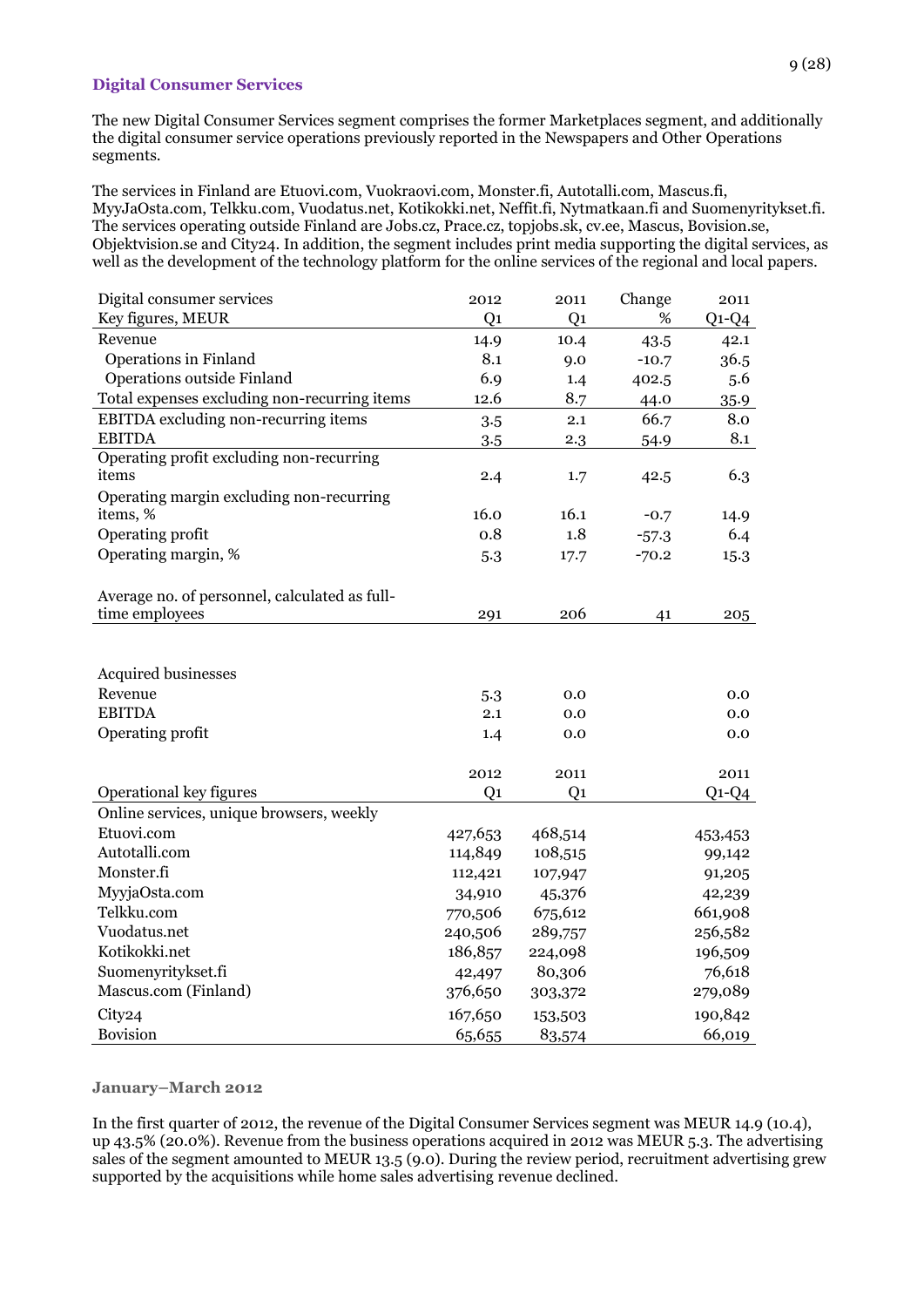#### **Digital Consumer Services**

The new Digital Consumer Services segment comprises the former Marketplaces segment, and additionally the digital consumer service operations previously reported in the Newspapers and Other Operations segments.

The services in Finland are Etuovi.com, Vuokraovi.com, Monster.fi, Autotalli.com, Mascus.fi, MyyJaOsta.com, Telkku.com, Vuodatus.net, Kotikokki.net, Neffit.fi, Nytmatkaan.fi and Suomenyritykset.fi. The services operating outside Finland are Jobs.cz, Prace.cz, topjobs.sk, cv.ee, Mascus, Bovision.se, Objektvision.se and City24. In addition, the segment includes print media supporting the digital services, as well as the development of the technology platform for the online services of the regional and local papers.

| Digital consumer services                     | 2012           | 2011           | Change  | 2011    |
|-----------------------------------------------|----------------|----------------|---------|---------|
| Key figures, MEUR                             | Q <sub>1</sub> | Q <sub>1</sub> | $\%$    | $Q1-Q4$ |
| Revenue                                       | 14.9           | 10.4           | 43.5    | 42.1    |
| <b>Operations in Finland</b>                  | 8.1            | 9.0            | $-10.7$ | 36.5    |
| Operations outside Finland                    | 6.9            | 1.4            | 402.5   | 5.6     |
| Total expenses excluding non-recurring items  | 12.6           | 8.7            | 44.0    | 35.9    |
| EBITDA excluding non-recurring items          | 3.5            | 2.1            | 66.7    | 8.0     |
| <b>EBITDA</b>                                 | 3.5            | 2.3            | 54.9    | 8.1     |
| Operating profit excluding non-recurring      |                |                |         |         |
| items                                         | 2.4            | 1.7            | 42.5    | 6.3     |
| Operating margin excluding non-recurring      |                |                |         |         |
| items, %                                      | 16.0           | 16.1           | $-0.7$  | 14.9    |
| Operating profit                              | 0.8            | 1.8            | $-57.3$ | 6.4     |
| Operating margin, %                           | 5.3            | 17.7           | $-70.2$ | 15.3    |
|                                               |                |                |         |         |
| Average no. of personnel, calculated as full- |                |                |         |         |
| time employees                                | 291            | 206            | 41      | 205     |
|                                               |                |                |         |         |
|                                               |                |                |         |         |
| Acquired businesses                           |                |                |         |         |
| Revenue                                       | 5.3            | 0.0            |         | 0.0     |
| <b>EBITDA</b>                                 | 2.1            | 0.0            |         | 0.0     |
| Operating profit                              | 1.4            | 0.0            |         | 0.0     |
|                                               |                |                |         |         |
|                                               | 2012           | 2011           |         | 2011    |
| Operational key figures                       | Q <sub>1</sub> | Q <sub>1</sub> |         | $Q1-Q4$ |
| Online services, unique browsers, weekly      |                |                |         |         |
| Etuovi.com                                    | 427,653        | 468,514        |         | 453,453 |
| Autotalli.com                                 | 114,849        | 108,515        |         | 99,142  |
| Monster.fi                                    | 112,421        | 107,947        |         | 91,205  |
| MyyjaOsta.com                                 | 34,910         | 45,376         |         | 42,239  |
| Telkku.com                                    | 770,506        | 675,612        |         | 661,908 |
| Vuodatus.net                                  | 240,506        | 289,757        |         | 256,582 |
| Kotikokki.net                                 | 186,857        | 224,098        |         | 196,509 |
| Suomenyritykset.fi                            | 42,497         | 80,306         |         | 76,618  |
| Mascus.com (Finland)                          | 376,650        | 303,372        |         | 279,089 |
| City24                                        | 167,650        | 153,503        |         | 190,842 |
| Bovision                                      | 65,655         | 83,574         |         | 66,019  |

#### **January–March 2012**

In the first quarter of 2012, the revenue of the Digital Consumer Services segment was MEUR 14.9 (10.4), up 43.5% (20.0%). Revenue from the business operations acquired in 2012 was MEUR 5.3. The advertising sales of the segment amounted to MEUR 13.5 (9.0). During the review period, recruitment advertising grew supported by the acquisitions while home sales advertising revenue declined.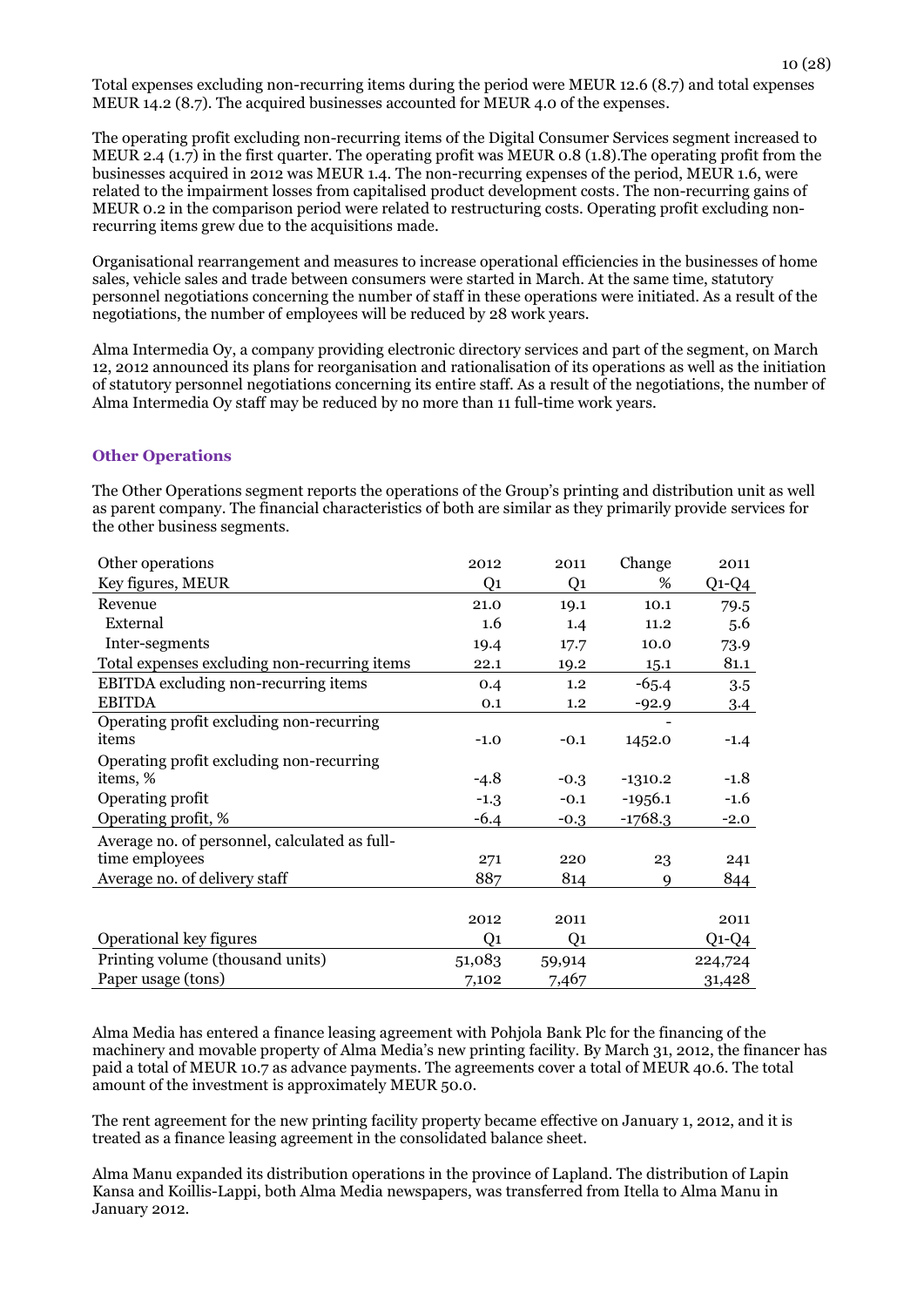Total expenses excluding non-recurring items during the period were MEUR 12.6 (8.7) and total expenses MEUR 14.2 (8.7). The acquired businesses accounted for MEUR 4.0 of the expenses.

The operating profit excluding non-recurring items of the Digital Consumer Services segment increased to MEUR 2.4 (1.7) in the first quarter. The operating profit was MEUR 0.8 (1.8).The operating profit from the businesses acquired in 2012 was MEUR 1.4. The non-recurring expenses of the period, MEUR 1.6, were related to the impairment losses from capitalised product development costs. The non-recurring gains of MEUR 0.2 in the comparison period were related to restructuring costs. Operating profit excluding nonrecurring items grew due to the acquisitions made.

Organisational rearrangement and measures to increase operational efficiencies in the businesses of home sales, vehicle sales and trade between consumers were started in March. At the same time, statutory personnel negotiations concerning the number of staff in these operations were initiated. As a result of the negotiations, the number of employees will be reduced by 28 work years.

Alma Intermedia Oy, a company providing electronic directory services and part of the segment, on March 12, 2012 announced its plans for reorganisation and rationalisation of its operations as well as the initiation of statutory personnel negotiations concerning its entire staff. As a result of the negotiations, the number of Alma Intermedia Oy staff may be reduced by no more than 11 full-time work years.

#### **Other Operations**

The Other Operations segment reports the operations of the Group's printing and distribution unit as well as parent company. The financial characteristics of both are similar as they primarily provide services for the other business segments.

| Other operations                              | 2012           | 2011           | Change    | 2011    |
|-----------------------------------------------|----------------|----------------|-----------|---------|
| Key figures, MEUR                             | Q <sub>1</sub> | Q <sub>1</sub> | %         | $Q1-Q4$ |
| Revenue                                       | 21.0           | 19.1           | 10.1      | 79.5    |
| External                                      | 1.6            | 1.4            | 11.2      | 5.6     |
| Inter-segments                                | 19.4           | 17.7           | 10.0      | 73.9    |
| Total expenses excluding non-recurring items  | 22.1           | 19.2           | 15.1      | 81.1    |
| EBITDA excluding non-recurring items          | 0.4            | 1.2            | $-65.4$   | 3.5     |
| <b>EBITDA</b>                                 | 0.1            | 1.2            | $-92.9$   | 3.4     |
| Operating profit excluding non-recurring      |                |                |           |         |
| items                                         | $-1.0$         | $-0.1$         | 1452.0    | $-1.4$  |
| Operating profit excluding non-recurring      |                |                |           |         |
| items, %                                      | $-4.8$         | $-0.3$         | $-1310.2$ | $-1.8$  |
| Operating profit                              | $-1.3$         | $-0.1$         | $-1956.1$ | $-1.6$  |
| Operating profit, %                           | $-6.4$         | $-0.3$         | $-1768.3$ | $-2.0$  |
| Average no. of personnel, calculated as full- |                |                |           |         |
| time employees                                | 271            | 220            | 23        | 241     |
| Average no. of delivery staff                 | 887            | 814            | 9         | 844     |
|                                               |                |                |           |         |
|                                               | 2012           | 2011           |           | 2011    |
| Operational key figures                       | Q1             | Q <sub>1</sub> |           | $Q1-Q4$ |
| Printing volume (thousand units)              | 51,083         | 59,914         |           | 224,724 |
| Paper usage (tons)                            | 7,102          | 7,467          |           | 31,428  |

Alma Media has entered a finance leasing agreement with Pohjola Bank Plc for the financing of the machinery and movable property of Alma Media's new printing facility. By March 31, 2012, the financer has paid a total of MEUR 10.7 as advance payments. The agreements cover a total of MEUR 40.6. The total amount of the investment is approximately MEUR 50.0.

The rent agreement for the new printing facility property became effective on January 1, 2012, and it is treated as a finance leasing agreement in the consolidated balance sheet.

Alma Manu expanded its distribution operations in the province of Lapland. The distribution of Lapin Kansa and Koillis-Lappi, both Alma Media newspapers, was transferred from Itella to Alma Manu in January 2012.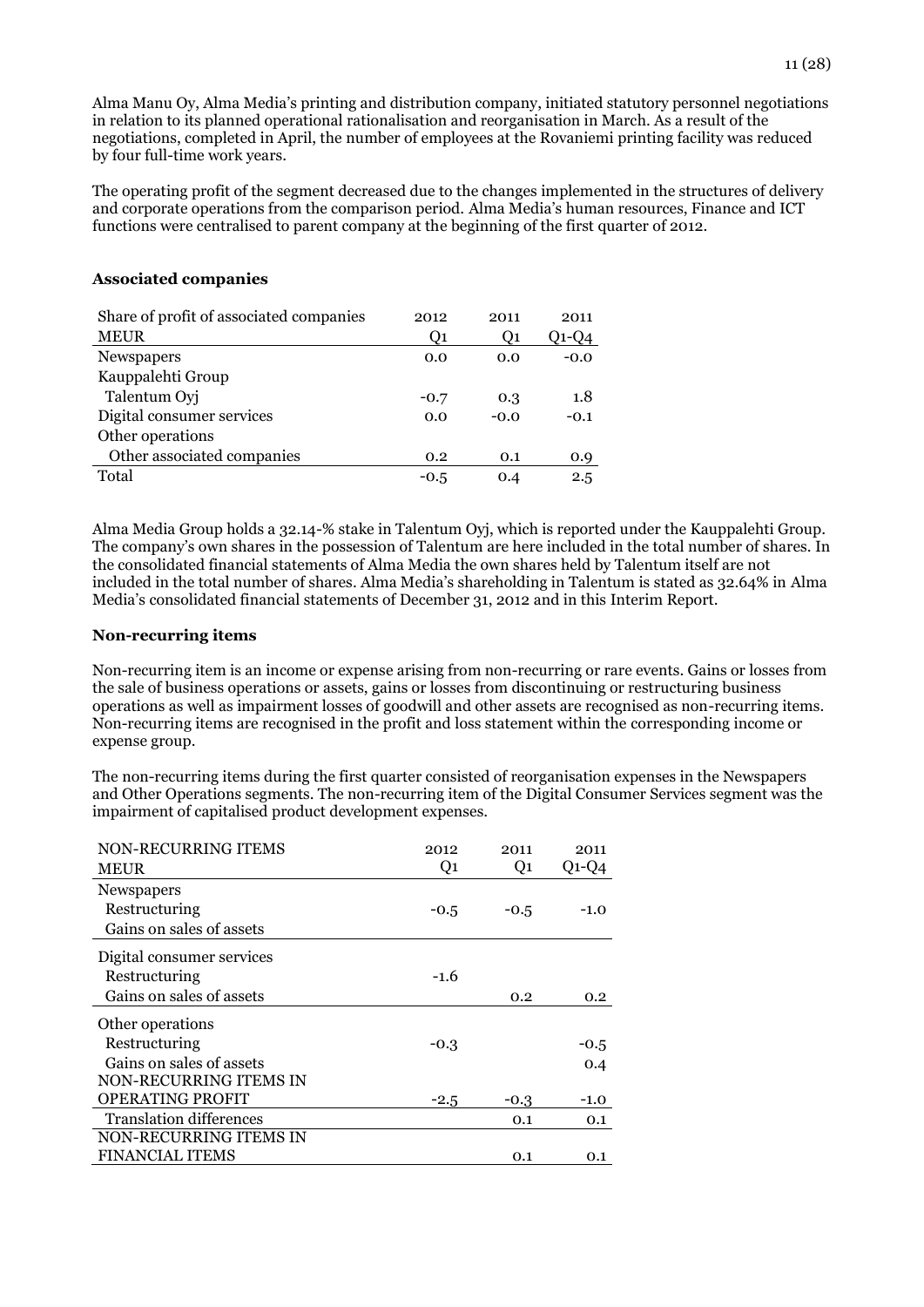Alma Manu Oy, Alma Media's printing and distribution company, initiated statutory personnel negotiations in relation to its planned operational rationalisation and reorganisation in March. As a result of the negotiations, completed in April, the number of employees at the Rovaniemi printing facility was reduced by four full-time work years.

The operating profit of the segment decreased due to the changes implemented in the structures of delivery and corporate operations from the comparison period. Alma Media's human resources, Finance and ICT functions were centralised to parent company at the beginning of the first quarter of 2012.

#### **Associated companies**

| Share of profit of associated companies | 2012           | 2011   | 2011   |
|-----------------------------------------|----------------|--------|--------|
| <b>MEUR</b>                             | O <sub>1</sub> | Q1     | Q1-Q4  |
| Newspapers                              | 0.0            | 0.0    | $-0.0$ |
| Kauppalehti Group                       |                |        |        |
| Talentum Oyj                            | $-0.7$         | 0.3    | 1.8    |
| Digital consumer services               | 0.0            | $-0.0$ | $-0.1$ |
| Other operations                        |                |        |        |
| Other associated companies              | 0.2            | 0.1    | 0.9    |
| Total                                   | $-0.5$         | 0.4    | 2.5    |

Alma Media Group holds a 32.14-% stake in Talentum Oyj, which is reported under the Kauppalehti Group. The company's own shares in the possession of Talentum are here included in the total number of shares. In the consolidated financial statements of Alma Media the own shares held by Talentum itself are not included in the total number of shares. Alma Media's shareholding in Talentum is stated as 32.64% in Alma Media's consolidated financial statements of December 31, 2012 and in this Interim Report.

#### **Non-recurring items**

Non-recurring item is an income or expense arising from non-recurring or rare events. Gains or losses from the sale of business operations or assets, gains or losses from discontinuing or restructuring business operations as well as impairment losses of goodwill and other assets are recognised as non-recurring items. Non-recurring items are recognised in the profit and loss statement within the corresponding income or expense group.

The non-recurring items during the first quarter consisted of reorganisation expenses in the Newspapers and Other Operations segments. The non-recurring item of the Digital Consumer Services segment was the impairment of capitalised product development expenses.

| NON-RECURRING ITEMS            | 2012           | 2011           | 2011             |
|--------------------------------|----------------|----------------|------------------|
| <b>MEUR</b>                    | Q <sub>1</sub> | Q <sub>1</sub> | $Q1-Q4$          |
| Newspapers                     |                |                |                  |
| Restructuring                  | $-0.5$         | $-0.5$         | $-1.0$           |
| Gains on sales of assets       |                |                |                  |
| Digital consumer services      |                |                |                  |
| Restructuring                  | $-1.6$         |                |                  |
| Gains on sales of assets       |                | 0.2            | 0.2 <sub>0</sub> |
| Other operations               |                |                |                  |
| Restructuring                  | -0.3           |                | $-0.5$           |
| Gains on sales of assets       |                |                | 0.4              |
| NON-RECURRING ITEMS IN         |                |                |                  |
| <b>OPERATING PROFIT</b>        | $-2.5$         | -0.3           | $-1.0$           |
| <b>Translation differences</b> |                | 0.1            | 0.1              |
| NON-RECURRING ITEMS IN         |                |                |                  |
| <b>FINANCIAL ITEMS</b>         |                | 0.1            | 0.1              |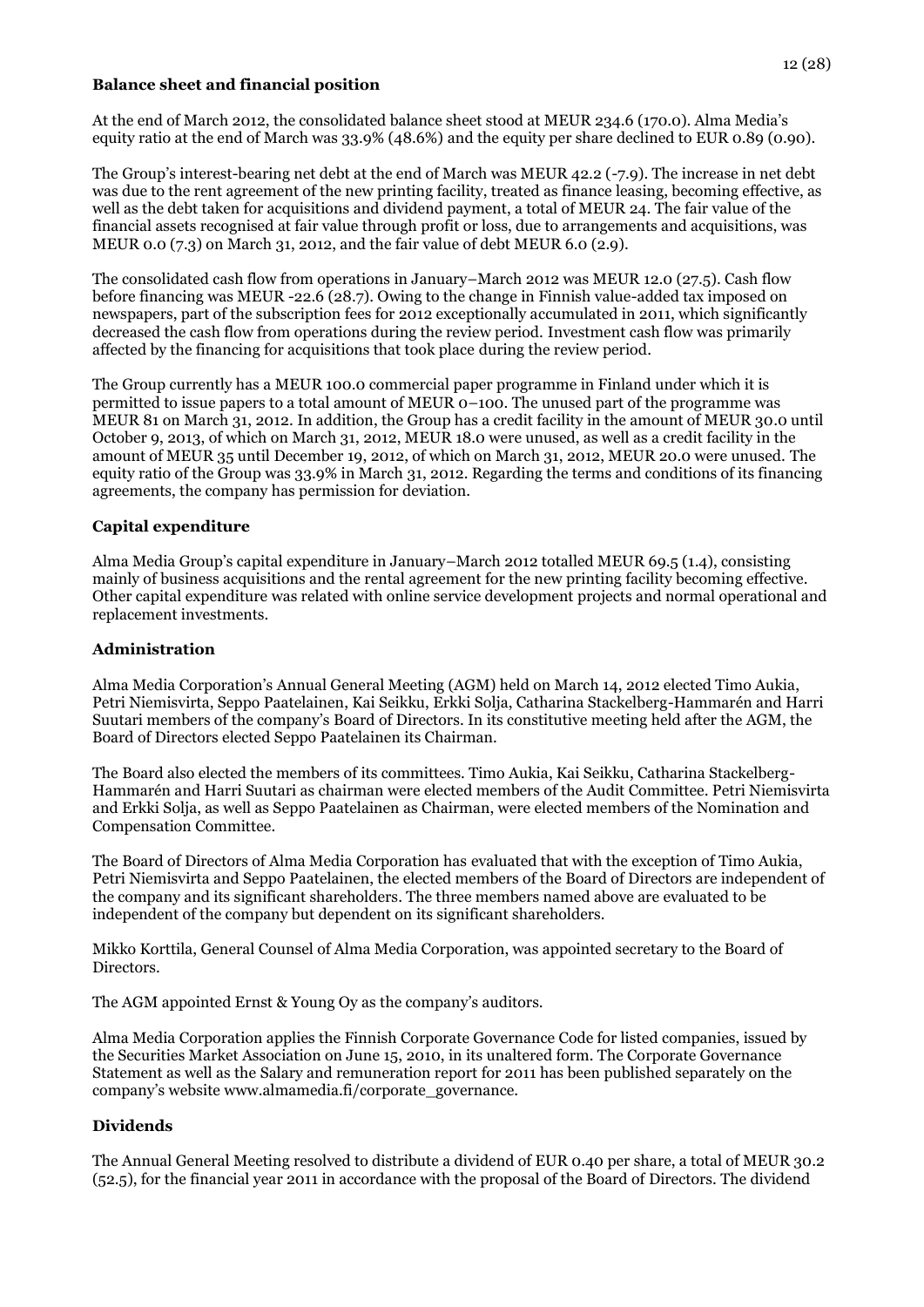#### **Balance sheet and financial position**

At the end of March 2012, the consolidated balance sheet stood at MEUR 234.6 (170.0). Alma Media's equity ratio at the end of March was 33.9% (48.6%) and the equity per share declined to EUR 0.89 (0.90).

The Group's interest-bearing net debt at the end of March was MEUR 42.2 (-7.9). The increase in net debt was due to the rent agreement of the new printing facility, treated as finance leasing, becoming effective, as well as the debt taken for acquisitions and dividend payment, a total of MEUR 24. The fair value of the financial assets recognised at fair value through profit or loss, due to arrangements and acquisitions, was MEUR 0.0 (7.3) on March 31, 2012, and the fair value of debt MEUR 6.0 (2.9).

The consolidated cash flow from operations in January–March 2012 was MEUR 12.0 (27.5). Cash flow before financing was MEUR -22.6 (28.7). Owing to the change in Finnish value-added tax imposed on newspapers, part of the subscription fees for 2012 exceptionally accumulated in 2011, which significantly decreased the cash flow from operations during the review period. Investment cash flow was primarily affected by the financing for acquisitions that took place during the review period.

The Group currently has a MEUR 100.0 commercial paper programme in Finland under which it is permitted to issue papers to a total amount of MEUR  $\overline{O}$ –100. The unused part of the programme was MEUR 81 on March 31, 2012. In addition, the Group has a credit facility in the amount of MEUR 30.0 until October 9, 2013, of which on March 31, 2012, MEUR 18.0 were unused, as well as a credit facility in the amount of MEUR 35 until December 19, 2012, of which on March 31, 2012, MEUR 20.0 were unused. The equity ratio of the Group was 33.9% in March 31, 2012. Regarding the terms and conditions of its financing agreements, the company has permission for deviation.

#### **Capital expenditure**

Alma Media Group's capital expenditure in January–March 2012 totalled MEUR 69.5 (1.4), consisting mainly of business acquisitions and the rental agreement for the new printing facility becoming effective. Other capital expenditure was related with online service development projects and normal operational and replacement investments.

#### **Administration**

Alma Media Corporation's Annual General Meeting (AGM) held on March 14, 2012 elected Timo Aukia, Petri Niemisvirta, Seppo Paatelainen, Kai Seikku, Erkki Solja, Catharina Stackelberg-Hammarén and Harri Suutari members of the company's Board of Directors. In its constitutive meeting held after the AGM, the Board of Directors elected Seppo Paatelainen its Chairman.

The Board also elected the members of its committees. Timo Aukia, Kai Seikku, Catharina Stackelberg-Hammarén and Harri Suutari as chairman were elected members of the Audit Committee. Petri Niemisvirta and Erkki Solja, as well as Seppo Paatelainen as Chairman, were elected members of the Nomination and Compensation Committee.

The Board of Directors of Alma Media Corporation has evaluated that with the exception of Timo Aukia, Petri Niemisvirta and Seppo Paatelainen, the elected members of the Board of Directors are independent of the company and its significant shareholders. The three members named above are evaluated to be independent of the company but dependent on its significant shareholders.

Mikko Korttila, General Counsel of Alma Media Corporation, was appointed secretary to the Board of Directors.

The AGM appointed Ernst & Young Oy as the company's auditors.

Alma Media Corporation applies the Finnish Corporate Governance Code for listed companies, issued by the Securities Market Association on June 15, 2010, in its unaltered form. The Corporate Governance Statement as well as the Salary and remuneration report for 2011 has been published separately on the company's website www.almamedia.fi/corporate\_governance.

#### **Dividends**

The Annual General Meeting resolved to distribute a dividend of EUR 0.40 per share, a total of MEUR 30.2 (52.5), for the financial year 2011 in accordance with the proposal of the Board of Directors. The dividend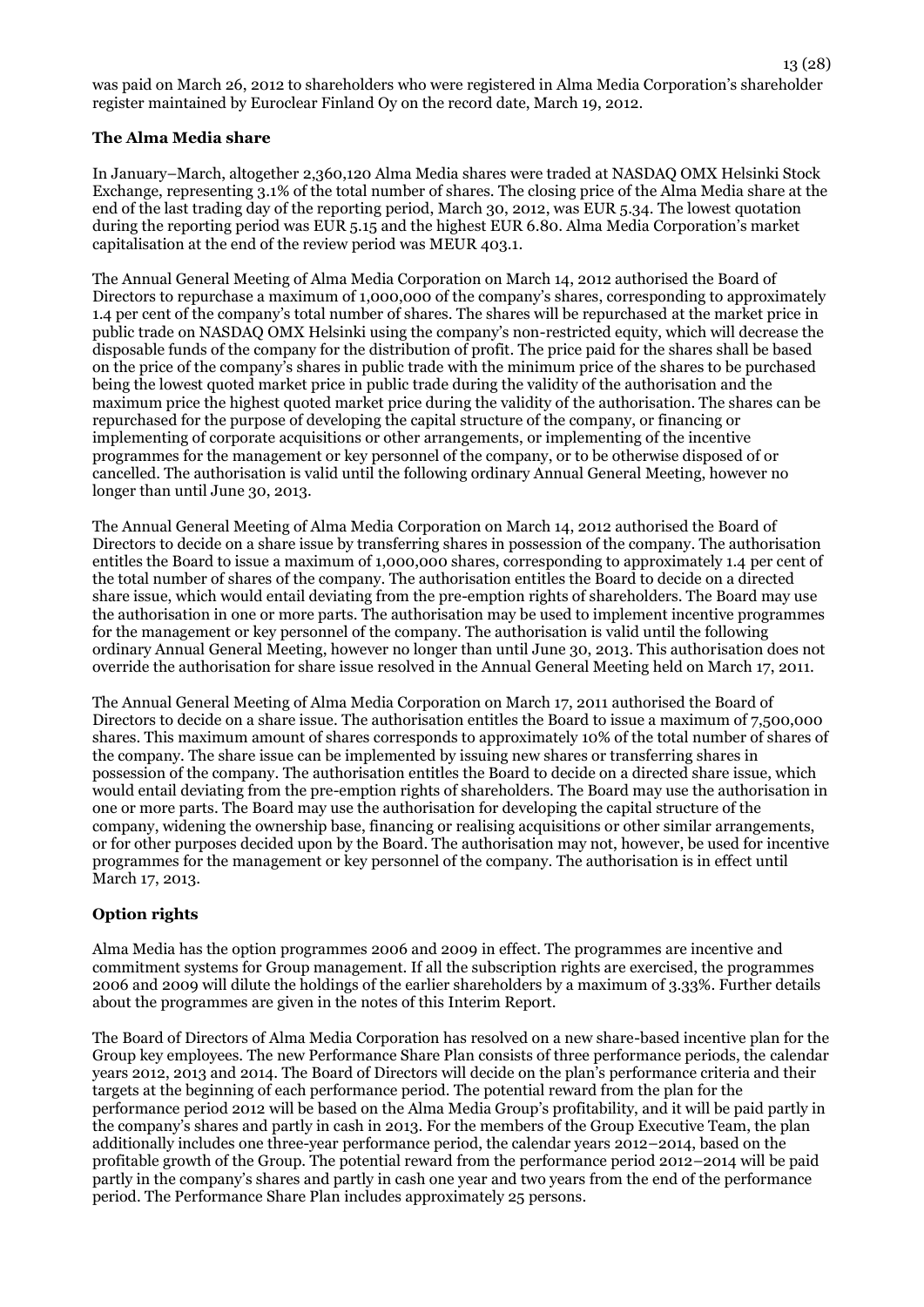13 (28)

#### **The Alma Media share**

In January–March, altogether 2,360,120 Alma Media shares were traded at NASDAQ OMX Helsinki Stock Exchange, representing 3.1% of the total number of shares. The closing price of the Alma Media share at the end of the last trading day of the reporting period, March 30, 2012, was EUR 5.34. The lowest quotation during the reporting period was EUR 5.15 and the highest EUR 6.80. Alma Media Corporation's market capitalisation at the end of the review period was MEUR 403.1.

The Annual General Meeting of Alma Media Corporation on March 14, 2012 authorised the Board of Directors to repurchase a maximum of 1,000,000 of the company's shares, corresponding to approximately 1.4 per cent of the company's total number of shares. The shares will be repurchased at the market price in public trade on NASDAQ OMX Helsinki using the company's non-restricted equity, which will decrease the disposable funds of the company for the distribution of profit. The price paid for the shares shall be based on the price of the company's shares in public trade with the minimum price of the shares to be purchased being the lowest quoted market price in public trade during the validity of the authorisation and the maximum price the highest quoted market price during the validity of the authorisation. The shares can be repurchased for the purpose of developing the capital structure of the company, or financing or implementing of corporate acquisitions or other arrangements, or implementing of the incentive programmes for the management or key personnel of the company, or to be otherwise disposed of or cancelled. The authorisation is valid until the following ordinary Annual General Meeting, however no longer than until June 30, 2013.

The Annual General Meeting of Alma Media Corporation on March 14, 2012 authorised the Board of Directors to decide on a share issue by transferring shares in possession of the company. The authorisation entitles the Board to issue a maximum of 1,000,000 shares, corresponding to approximately 1.4 per cent of the total number of shares of the company. The authorisation entitles the Board to decide on a directed share issue, which would entail deviating from the pre-emption rights of shareholders. The Board may use the authorisation in one or more parts. The authorisation may be used to implement incentive programmes for the management or key personnel of the company. The authorisation is valid until the following ordinary Annual General Meeting, however no longer than until June 30, 2013. This authorisation does not override the authorisation for share issue resolved in the Annual General Meeting held on March 17, 2011.

The Annual General Meeting of Alma Media Corporation on March 17, 2011 authorised the Board of Directors to decide on a share issue. The authorisation entitles the Board to issue a maximum of 7,500,000 shares. This maximum amount of shares corresponds to approximately 10% of the total number of shares of the company. The share issue can be implemented by issuing new shares or transferring shares in possession of the company. The authorisation entitles the Board to decide on a directed share issue, which would entail deviating from the pre-emption rights of shareholders. The Board may use the authorisation in one or more parts. The Board may use the authorisation for developing the capital structure of the company, widening the ownership base, financing or realising acquisitions or other similar arrangements, or for other purposes decided upon by the Board. The authorisation may not, however, be used for incentive programmes for the management or key personnel of the company. The authorisation is in effect until March 17, 2013.

#### **Option rights**

Alma Media has the option programmes 2006 and 2009 in effect. The programmes are incentive and commitment systems for Group management. If all the subscription rights are exercised, the programmes 2006 and 2009 will dilute the holdings of the earlier shareholders by a maximum of 3.33%. Further details about the programmes are given in the notes of this Interim Report.

The Board of Directors of Alma Media Corporation has resolved on a new share-based incentive plan for the Group key employees. The new Performance Share Plan consists of three performance periods, the calendar years 2012, 2013 and 2014. The Board of Directors will decide on the plan's performance criteria and their targets at the beginning of each performance period. The potential reward from the plan for the performance period 2012 will be based on the Alma Media Group's profitability, and it will be paid partly in the company's shares and partly in cash in 2013. For the members of the Group Executive Team, the plan additionally includes one three-year performance period, the calendar years 2012–2014, based on the profitable growth of the Group. The potential reward from the performance period 2012–2014 will be paid partly in the company's shares and partly in cash one year and two years from the end of the performance period. The Performance Share Plan includes approximately 25 persons.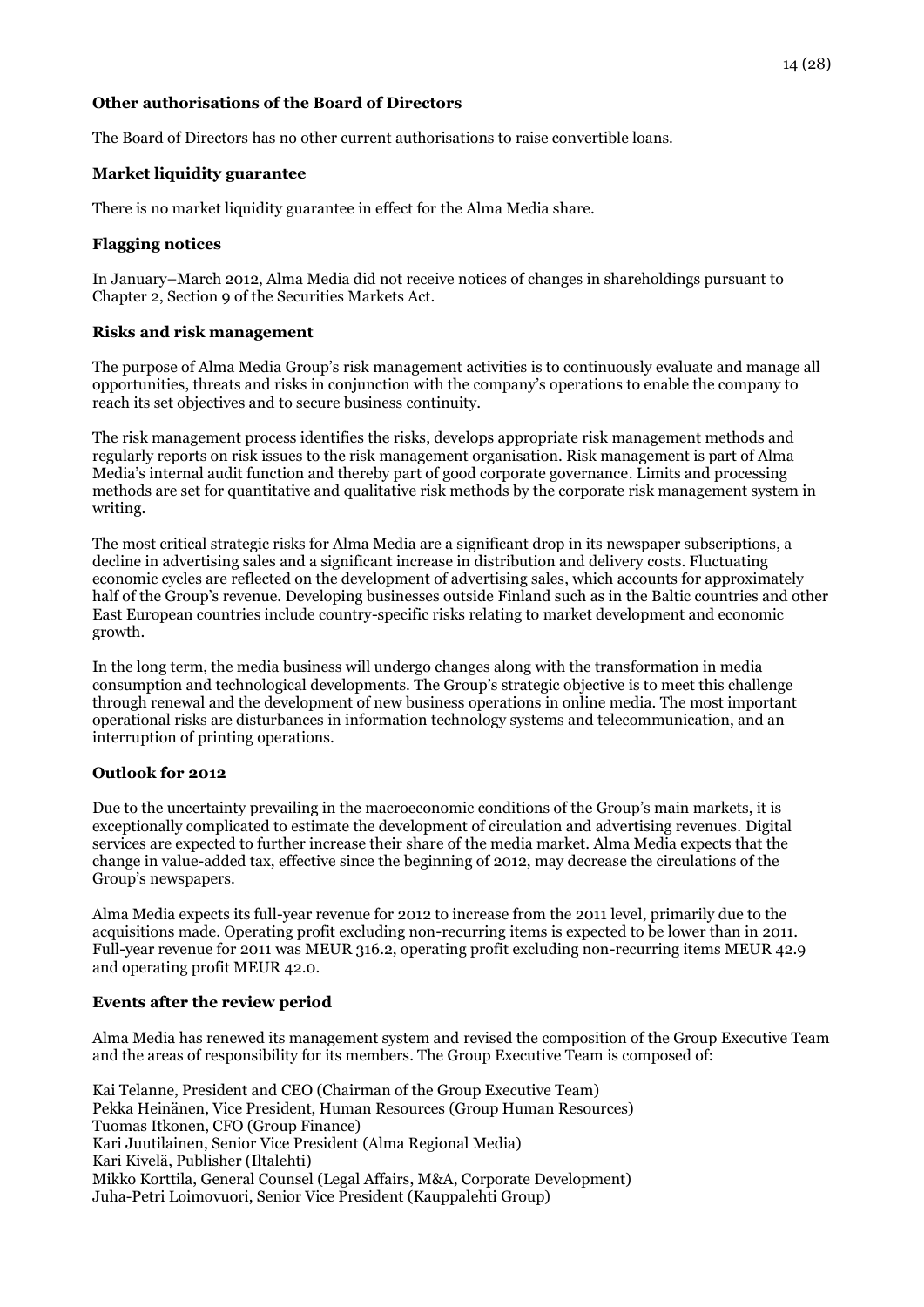#### **Other authorisations of the Board of Directors**

The Board of Directors has no other current authorisations to raise convertible loans.

#### **Market liquidity guarantee**

There is no market liquidity guarantee in effect for the Alma Media share.

#### **Flagging notices**

In January–March 2012, Alma Media did not receive notices of changes in shareholdings pursuant to Chapter 2, Section 9 of the Securities Markets Act.

#### **Risks and risk management**

The purpose of Alma Media Group's risk management activities is to continuously evaluate and manage all opportunities, threats and risks in conjunction with the company's operations to enable the company to reach its set objectives and to secure business continuity.

The risk management process identifies the risks, develops appropriate risk management methods and regularly reports on risk issues to the risk management organisation. Risk management is part of Alma Media's internal audit function and thereby part of good corporate governance. Limits and processing methods are set for quantitative and qualitative risk methods by the corporate risk management system in writing.

The most critical strategic risks for Alma Media are a significant drop in its newspaper subscriptions, a decline in advertising sales and a significant increase in distribution and delivery costs. Fluctuating economic cycles are reflected on the development of advertising sales, which accounts for approximately half of the Group's revenue. Developing businesses outside Finland such as in the Baltic countries and other East European countries include country-specific risks relating to market development and economic growth.

In the long term, the media business will undergo changes along with the transformation in media consumption and technological developments. The Group's strategic objective is to meet this challenge through renewal and the development of new business operations in online media. The most important operational risks are disturbances in information technology systems and telecommunication, and an interruption of printing operations.

#### **Outlook for 2012**

Due to the uncertainty prevailing in the macroeconomic conditions of the Group's main markets, it is exceptionally complicated to estimate the development of circulation and advertising revenues. Digital services are expected to further increase their share of the media market. Alma Media expects that the change in value-added tax, effective since the beginning of 2012, may decrease the circulations of the Group's newspapers.

Alma Media expects its full-year revenue for 2012 to increase from the 2011 level, primarily due to the acquisitions made. Operating profit excluding non-recurring items is expected to be lower than in 2011. Full-year revenue for 2011 was MEUR 316.2, operating profit excluding non-recurring items MEUR 42.9 and operating profit MEUR 42.0.

#### **Events after the review period**

Alma Media has renewed its management system and revised the composition of the Group Executive Team and the areas of responsibility for its members. The Group Executive Team is composed of:

Kai Telanne, President and CEO (Chairman of the Group Executive Team) Pekka Heinänen, Vice President, Human Resources (Group Human Resources) Tuomas Itkonen, CFO (Group Finance) Kari Juutilainen, Senior Vice President (Alma Regional Media) Kari Kivelä, Publisher (Iltalehti) Mikko Korttila, General Counsel (Legal Affairs, M&A, Corporate Development) Juha-Petri Loimovuori, Senior Vice President (Kauppalehti Group)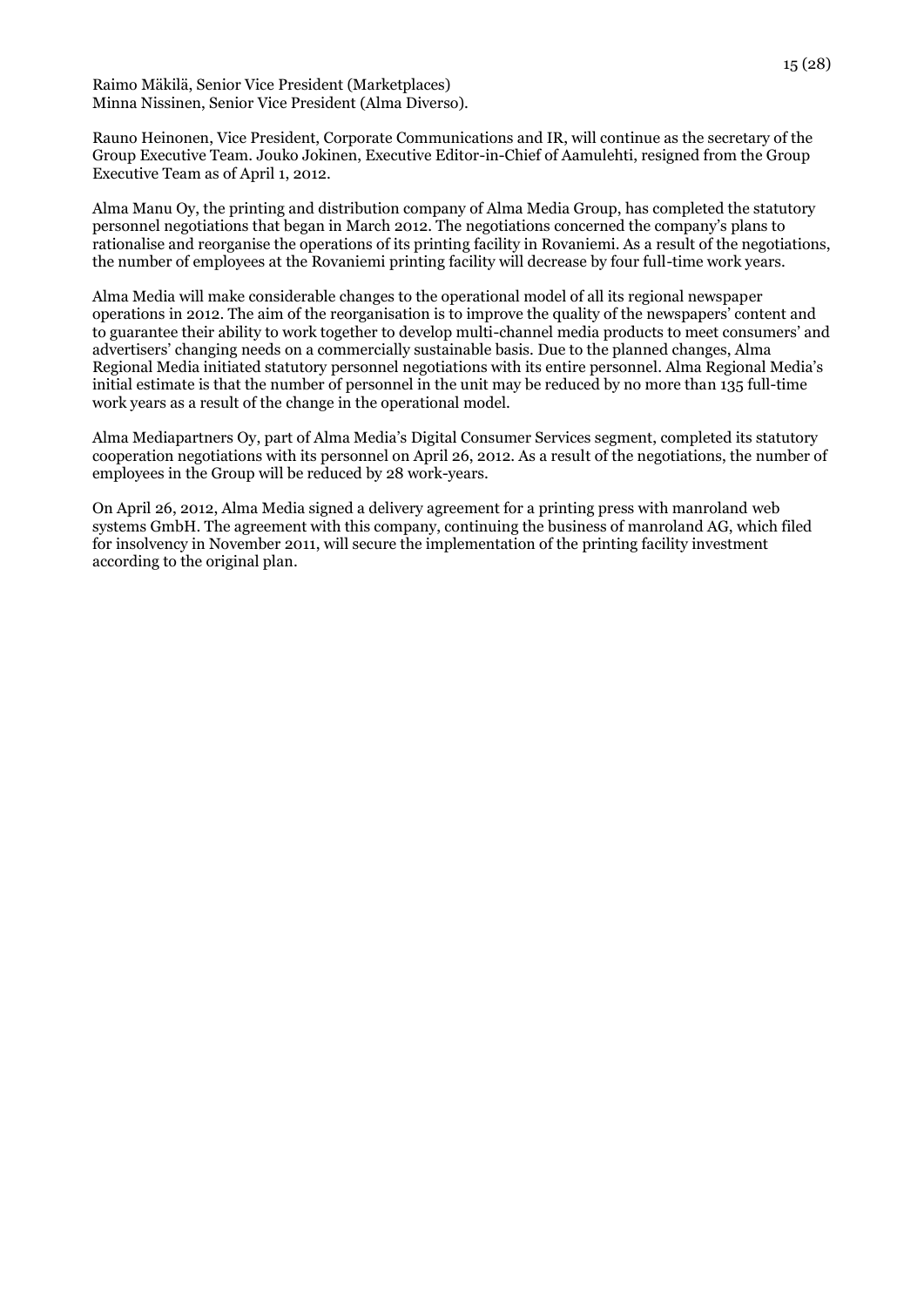Raimo Mäkilä, Senior Vice President (Marketplaces) Minna Nissinen, Senior Vice President (Alma Diverso).

Rauno Heinonen, Vice President, Corporate Communications and IR, will continue as the secretary of the Group Executive Team. Jouko Jokinen, Executive Editor-in-Chief of Aamulehti, resigned from the Group Executive Team as of April 1, 2012.

Alma Manu Oy, the printing and distribution company of Alma Media Group, has completed the statutory personnel negotiations that began in March 2012. The negotiations concerned the company's plans to rationalise and reorganise the operations of its printing facility in Rovaniemi. As a result of the negotiations, the number of employees at the Rovaniemi printing facility will decrease by four full-time work years.

Alma Media will make considerable changes to the operational model of all its regional newspaper operations in 2012. The aim of the reorganisation is to improve the quality of the newspapers' content and to guarantee their ability to work together to develop multi-channel media products to meet consumers' and advertisers' changing needs on a commercially sustainable basis. Due to the planned changes, Alma Regional Media initiated statutory personnel negotiations with its entire personnel. Alma Regional Media's initial estimate is that the number of personnel in the unit may be reduced by no more than 135 full-time work years as a result of the change in the operational model.

Alma Mediapartners Oy, part of Alma Media's Digital Consumer Services segment, completed its statutory cooperation negotiations with its personnel on April 26, 2012. As a result of the negotiations, the number of employees in the Group will be reduced by 28 work-years.

On April 26, 2012, Alma Media signed a delivery agreement for a printing press with manroland web systems GmbH. The agreement with this company, continuing the business of manroland AG, which filed for insolvency in November 2011, will secure the implementation of the printing facility investment according to the original plan.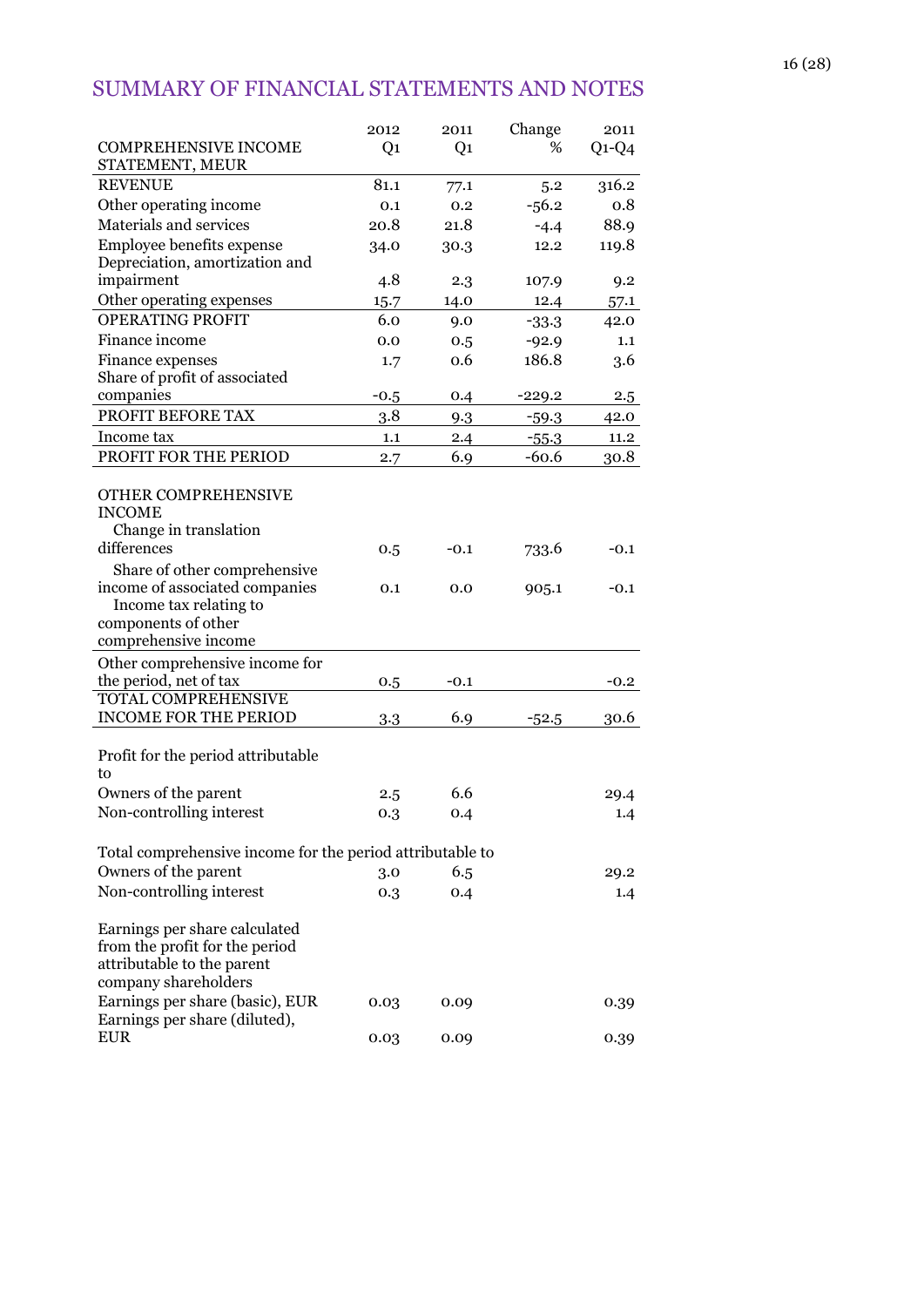# SUMMARY OF FINANCIAL STATEMENTS AND NOTES

|                                                                                          | 2012           | 2011           | Change             | 2011         |
|------------------------------------------------------------------------------------------|----------------|----------------|--------------------|--------------|
| <b>COMPREHENSIVE INCOME</b><br>STATEMENT, MEUR                                           | Q <sub>1</sub> | Q <sub>1</sub> | %                  | $Q1-Q4$      |
| <b>REVENUE</b>                                                                           | 81.1           | 77.1           | 5.2                | 316.2        |
| Other operating income                                                                   | 0.1            | 0.2            | $-56.2$            | 0.8          |
| Materials and services                                                                   | 20.8           | 21.8           | $-4.4$             | 88.9         |
| Employee benefits expense                                                                | 34.0           | 30.3           | 12.2               | 119.8        |
| Depreciation, amortization and                                                           |                |                |                    |              |
| impairment                                                                               | 4.8            | 2.3            | 107.9              | 9.2          |
| Other operating expenses                                                                 | 15.7           | 14.0           | 12.4               | 57.1         |
| <b>OPERATING PROFIT</b>                                                                  | 6.0            | 9.0            | $-33.3$            | 42.0         |
| Finance income                                                                           | 0.0            | 0.5            | $-92.9$            | 1.1          |
| Finance expenses                                                                         | 1.7            | 0.6            | 186.8              | 3.6          |
| Share of profit of associated<br>companies                                               |                |                |                    |              |
| PROFIT BEFORE TAX                                                                        | $-0.5$<br>3.8  | 0.4            | $-229.2$           | $2.5\,$      |
| Income tax                                                                               | 1.1            | 9.3<br>2.4     | $-59.3$            | 42.0<br>11.2 |
| PROFIT FOR THE PERIOD                                                                    |                | 6.9            | $-55.3$<br>$-60.6$ |              |
|                                                                                          | 2.7            |                |                    | 30.8         |
| OTHER COMPREHENSIVE<br><b>INCOME</b>                                                     |                |                |                    |              |
| Change in translation                                                                    |                |                |                    |              |
| differences                                                                              | 0.5            | $-0.1$         | 733.6              | $-0.1$       |
| Share of other comprehensive<br>income of associated companies<br>Income tax relating to | 0.1            | 0.0            | 905.1              | $-0.1$       |
| components of other                                                                      |                |                |                    |              |
| comprehensive income                                                                     |                |                |                    |              |
| Other comprehensive income for                                                           |                |                |                    |              |
| the period, net of tax                                                                   | 0.5            | $-0.1$         |                    | $-0.2$       |
| <b>TOTAL COMPREHENSIVE</b>                                                               |                |                |                    |              |
| <b>INCOME FOR THE PERIOD</b>                                                             | 3.3            | 6.9            | $-52.5$            | 30.6         |
| Profit for the period attributable<br>to                                                 |                |                |                    |              |
| Owners of the parent                                                                     | 2.5            | 6.6            |                    | 29.4         |
| Non-controlling interest                                                                 | 0.3            | 0.4            |                    | 1.4          |
|                                                                                          |                |                |                    |              |
| Total comprehensive income for the period attributable to                                |                |                |                    |              |
| Owners of the parent                                                                     | 3.0            | 6.5            |                    | 29.2         |
| Non-controlling interest                                                                 | 0.3            | 0.4            |                    | 1.4          |
|                                                                                          |                |                |                    |              |
| Earnings per share calculated                                                            |                |                |                    |              |
| from the profit for the period<br>attributable to the parent                             |                |                |                    |              |
| company shareholders                                                                     |                |                |                    |              |
| Earnings per share (basic), EUR                                                          | 0.03           | 0.09           |                    | 0.39         |
| Earnings per share (diluted),                                                            |                |                |                    |              |
| <b>EUR</b>                                                                               | 0.03           | 0.09           |                    | 0.39         |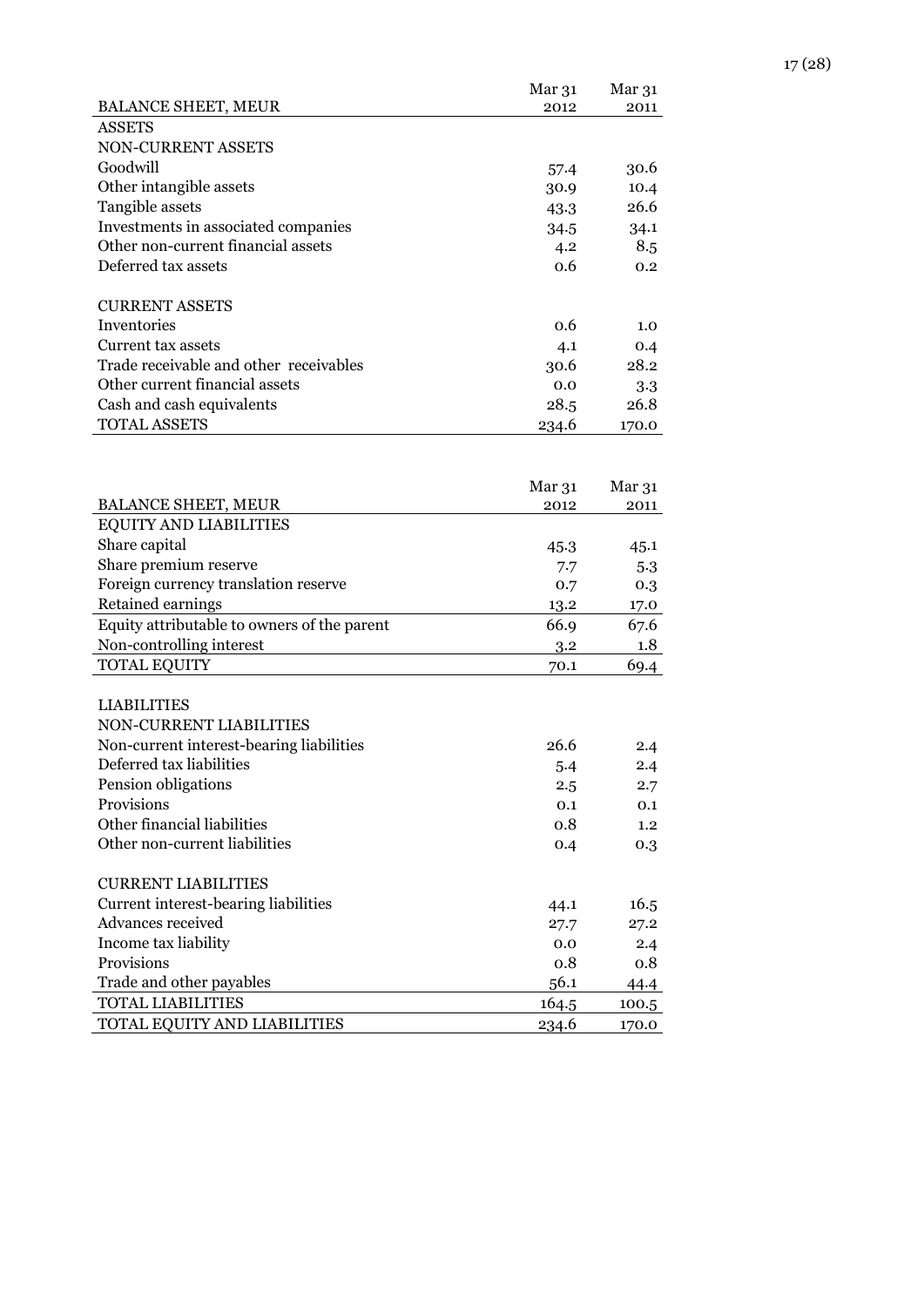| <b>BALANCE SHEET, MEUR</b>                  | Mar <sub>31</sub><br>2012 | Mar <sub>31</sub><br>2011 |
|---------------------------------------------|---------------------------|---------------------------|
| <b>ASSETS</b>                               |                           |                           |
| NON-CURRENT ASSETS                          |                           |                           |
| Goodwill                                    | 57.4                      | 30.6                      |
| Other intangible assets                     | 30.9                      | 10.4                      |
| Tangible assets                             | 43.3                      | 26.6                      |
| Investments in associated companies         | 34.5                      | 34.1                      |
| Other non-current financial assets          | 4.2                       | 8.5                       |
| Deferred tax assets                         | 0.6                       | 0.2                       |
| <b>CURRENT ASSETS</b>                       |                           |                           |
| Inventories                                 | 0.6                       | 1.0                       |
| Current tax assets                          | 4.1                       | 0.4                       |
| Trade receivable and other receivables      | 30.6                      | 28.2                      |
| Other current financial assets              | 0.0                       | 3.3                       |
| Cash and cash equivalents                   | 28.5                      | 26.8                      |
| <b>TOTAL ASSETS</b>                         | 234.6                     | 170.0                     |
|                                             |                           |                           |
|                                             | Mar <sub>31</sub>         | Mar 31                    |
| <b>BALANCE SHEET, MEUR</b>                  | 2012                      | 2011                      |
| <b>EQUITY AND LIABILITIES</b>               |                           |                           |
| Share capital                               | 45.3                      | 45.1                      |
| Share premium reserve                       | 7.7                       | 5.3                       |
| Foreign currency translation reserve        | 0.7                       | 0.3                       |
| Retained earnings                           | 13.2                      | 17.0                      |
| Equity attributable to owners of the parent | 66.9                      | 67.6                      |
| Non-controlling interest                    | 3.2                       | 1.8                       |
| <b>TOTAL EQUITY</b>                         | 70.1                      | 69.4                      |
| <b>LIABILITIES</b>                          |                           |                           |
| NON-CURRENT LIABILITIES                     |                           |                           |
| Non-current interest-bearing liabilities    | 26.6                      | 2.4                       |
| Deferred tax liabilities                    | 5.4                       | 2.4                       |
| Pension obligations                         | 2.5                       | 2.7                       |
| Provisions                                  | 0.1                       | 0.1                       |
| Other financial liabilities                 | 0.8                       | 1.2                       |
| Other non-current liabilities               | 0.4                       | 0.3                       |
| <b>CURRENT LIABILITIES</b>                  |                           |                           |
| Current interest-bearing liabilities        | 44.1                      | 16.5                      |
| Advances received                           | 27.7                      | 27.2                      |
| Income tax liability                        | 0.0                       | 2.4                       |
| Provisions                                  | 0.8                       | 0.8                       |
| Trade and other payables                    | 56.1                      | 44.4                      |
| <b>TOTAL LIABILITIES</b>                    | 164.5                     | 100.5                     |
| TOTAL EQUITY AND LIABILITIES                | 234.6                     | 170.0                     |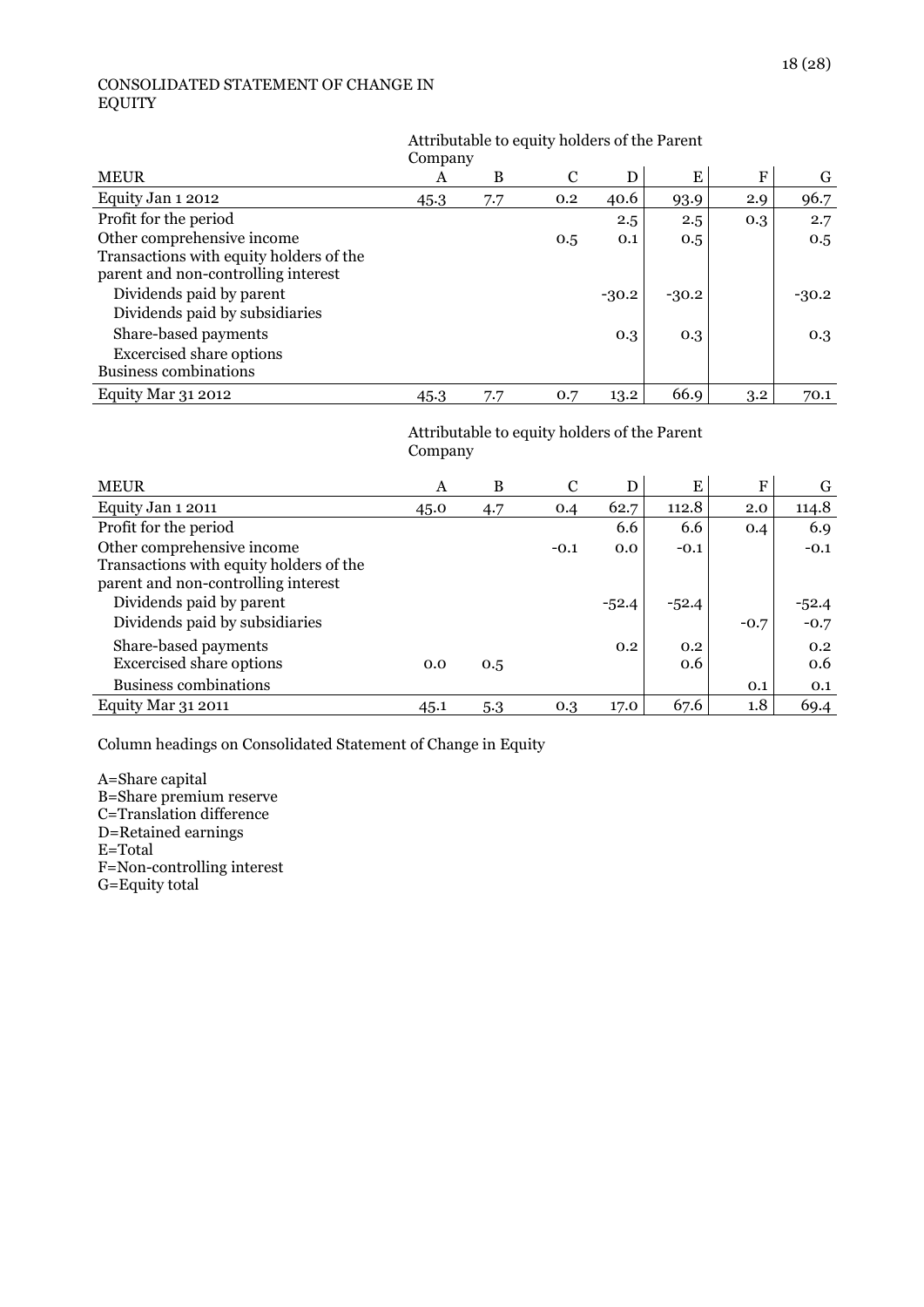#### CONSOLIDATED STATEMENT OF CHANGE IN EQUITY

# Attributable to equity holders of the Parent

| <b>MEUR</b>                             | A    | B   | C   | D       | E       | F   | G       |
|-----------------------------------------|------|-----|-----|---------|---------|-----|---------|
| Equity Jan 1 2012                       | 45.3 | 7.7 | 0.2 | 40.6    | 93.9    | 2.9 | 96.7    |
| Profit for the period                   |      |     |     | 2.5     | 2.5     | 0.3 | 2.7     |
| Other comprehensive income              |      |     | 0.5 | 0.1     | 0.5     |     | 0.5     |
| Transactions with equity holders of the |      |     |     |         |         |     |         |
| parent and non-controlling interest     |      |     |     |         |         |     |         |
| Dividends paid by parent                |      |     |     | $-30.2$ | $-30.2$ |     | $-30.2$ |
| Dividends paid by subsidiaries          |      |     |     |         |         |     |         |
| Share-based payments                    |      |     |     | 0.3     | 0.3     |     | 0.3     |
| <b>Excercised share options</b>         |      |     |     |         |         |     |         |
| <b>Business combinations</b>            |      |     |     |         |         |     |         |
| <b>Equity Mar 31 2012</b>               | 45.3 | 7.7 | 0.7 | 13.2    | 66.9    | 3.2 | 70.1    |

#### Attributable to equity holders of the Parent Company

| <b>MEUR</b>                                                                                                  | A    | B   | C      | D       | Ε          | F      | G                 |
|--------------------------------------------------------------------------------------------------------------|------|-----|--------|---------|------------|--------|-------------------|
| Equity Jan 1 2011                                                                                            | 45.0 | 4.7 | 0.4    | 62.7    | 112.8      | 2.0    | 114.8             |
| Profit for the period                                                                                        |      |     |        | 6.6     | 6.6        | 0.4    | 6.9               |
| Other comprehensive income<br>Transactions with equity holders of the<br>parent and non-controlling interest |      |     | $-0.1$ | 0.0     | $-0.1$     |        | $-0.1$            |
| Dividends paid by parent<br>Dividends paid by subsidiaries                                                   |      |     |        | $-52.4$ | $-52.4$    | $-0.7$ | $-52.4$<br>$-0.7$ |
| Share-based payments<br><b>Excercised share options</b>                                                      | 0.0  | 0.5 |        | 0.2     | 0.2<br>0.6 |        | 0.2<br>0.6        |
| <b>Business combinations</b>                                                                                 |      |     |        |         |            | 0.1    | 0.1               |
| Equity Mar 31 2011                                                                                           | 45.1 | 5.3 | 0.3    | 17.0    | 67.6       | 1.8    | 69.4              |

Column headings on Consolidated Statement of Change in Equity

A=Share capital B=Share premium reserve C=Translation difference D=Retained earnings E=Total F=Non-controlling interest G=Equity total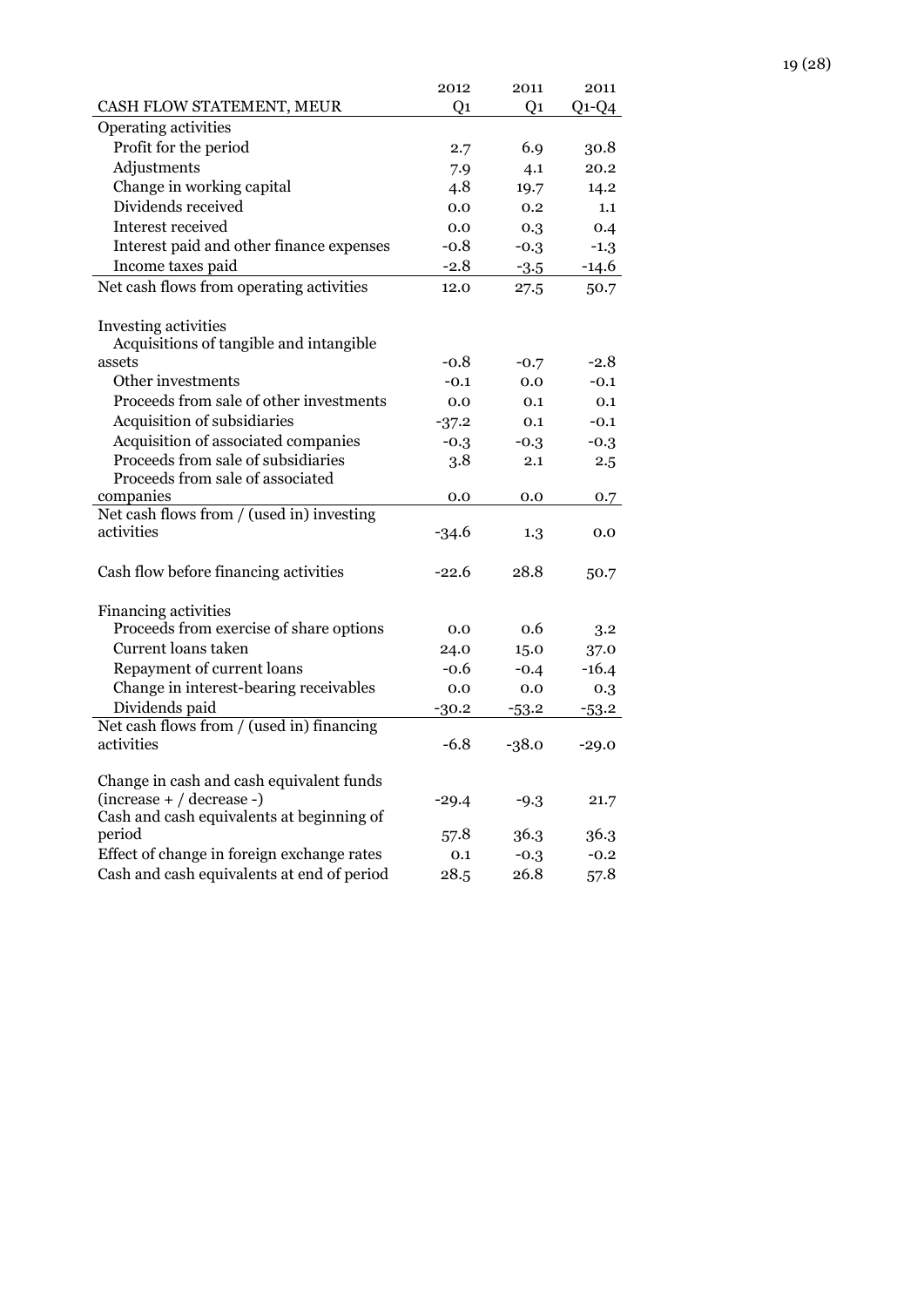|                                                                          | 2012    | 2011    | 2011    |
|--------------------------------------------------------------------------|---------|---------|---------|
| CASH FLOW STATEMENT, MEUR                                                | O1      | O1      | $Q1-Q4$ |
| Operating activities                                                     |         |         |         |
| Profit for the period                                                    | 2.7     | 6.9     | 30.8    |
| Adjustments                                                              | 7.9     | 4.1     | 20.2    |
| Change in working capital                                                | 4.8     | 19.7    | 14.2    |
| Dividends received                                                       | 0.0     | 0.2     | 1.1     |
| Interest received                                                        | 0.0     | 0.3     | 0.4     |
| Interest paid and other finance expenses                                 | $-0.8$  | $-0.3$  | $-1.3$  |
| Income taxes paid                                                        | $-2.8$  | $-3.5$  | $-14.6$ |
| Net cash flows from operating activities                                 | 12.0    | 27.5    | 50.7    |
| Investing activities                                                     |         |         |         |
| Acquisitions of tangible and intangible                                  |         |         |         |
| assets                                                                   | $-0.8$  | $-0.7$  | $-2.8$  |
| Other investments                                                        | $-0.1$  | 0.0     | $-0.1$  |
| Proceeds from sale of other investments                                  | 0.0     | 0.1     | 0.1     |
| Acquisition of subsidiaries                                              | $-37.2$ | 0.1     | $-0.1$  |
| Acquisition of associated companies                                      | $-0.3$  | $-0.3$  | $-0.3$  |
| Proceeds from sale of subsidiaries<br>Proceeds from sale of associated   | 3.8     | 2.1     | 2.5     |
| companies                                                                | 0.0     | 0.0     | 0.7     |
| Net cash flows from / (used in) investing<br>activities                  | $-34.6$ | 1.3     | 0.0     |
| Cash flow before financing activities                                    | $-22.6$ | 28.8    | 50.7    |
| <b>Financing activities</b>                                              |         |         |         |
| Proceeds from exercise of share options                                  | 0.0     | 0.6     | 3.2     |
| Current loans taken                                                      | 24.0    | 15.0    | 37.0    |
| Repayment of current loans                                               | $-0.6$  | $-0.4$  | $-16.4$ |
| Change in interest-bearing receivables                                   | 0.0     | 0.0     | 0.3     |
| Dividends paid                                                           | $-30.2$ | $-53.2$ | $-53.2$ |
| Net cash flows from / (used in) financing                                |         |         |         |
| activities                                                               | $-6.8$  | $-38.0$ | $-29.0$ |
| Change in cash and cash equivalent funds                                 |         |         |         |
| $(increase + / decrease -)$<br>Cash and cash equivalents at beginning of | $-29.4$ | $-9.3$  | 21.7    |
| period                                                                   | 57.8    | 36.3    | 36.3    |
| Effect of change in foreign exchange rates                               | 0.1     | $-0.3$  | $-0.2$  |
| Cash and cash equivalents at end of period                               | 28.5    | 26.8    | 57.8    |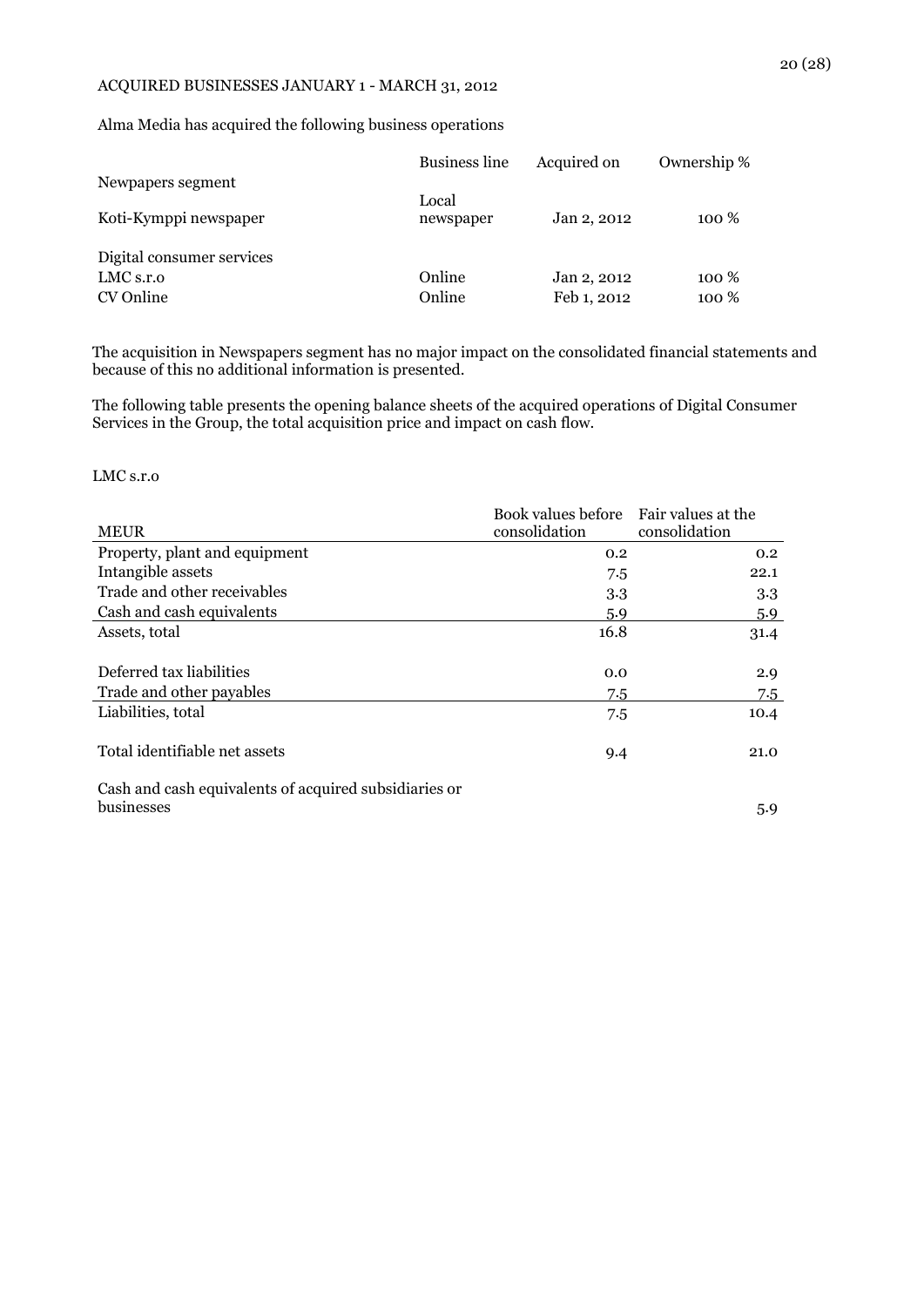#### ACQUIRED BUSINESSES JANUARY 1 - MARCH 31, 2012

Alma Media has acquired the following business operations

|                           | <b>Business line</b> | Acquired on | Ownership % |
|---------------------------|----------------------|-------------|-------------|
| Newpapers segment         |                      |             |             |
| Koti-Kymppi newspaper     | Local<br>newspaper   | Jan 2, 2012 | 100 %       |
| Digital consumer services |                      |             |             |
| LMC s.r.o                 | Online               | Jan 2, 2012 | 100 %       |
| CV Online                 | Online               | Feb 1, 2012 | 100 %       |

The acquisition in Newspapers segment has no major impact on the consolidated financial statements and because of this no additional information is presented.

The following table presents the opening balance sheets of the acquired operations of Digital Consumer Services in the Group, the total acquisition price and impact on cash flow.

#### LMC s.r.o

| <b>MEUR</b>                                                                       | Book values before Fair values at the<br>consolidation | consolidation |  |
|-----------------------------------------------------------------------------------|--------------------------------------------------------|---------------|--|
| Property, plant and equipment                                                     | 0.2                                                    | 0.2           |  |
| Intangible assets                                                                 | 7.5                                                    | 22.1          |  |
| Trade and other receivables                                                       | 3.3                                                    | 3.3           |  |
| Cash and cash equivalents                                                         | 5.9                                                    | 5.9           |  |
| Assets, total                                                                     | 16.8                                                   | 31.4          |  |
| Deferred tax liabilities                                                          | 0.0                                                    | 2.9           |  |
| Trade and other payables                                                          | 7.5                                                    | 7.5           |  |
| Liabilities, total                                                                | 7.5                                                    | 10.4          |  |
| Total identifiable net assets                                                     | 9.4                                                    | 21.0          |  |
| . On also and so also a material antis of a construct and additional construction |                                                        |               |  |

Cash and cash equivalents of acquired subsidiaries or businesses 5.9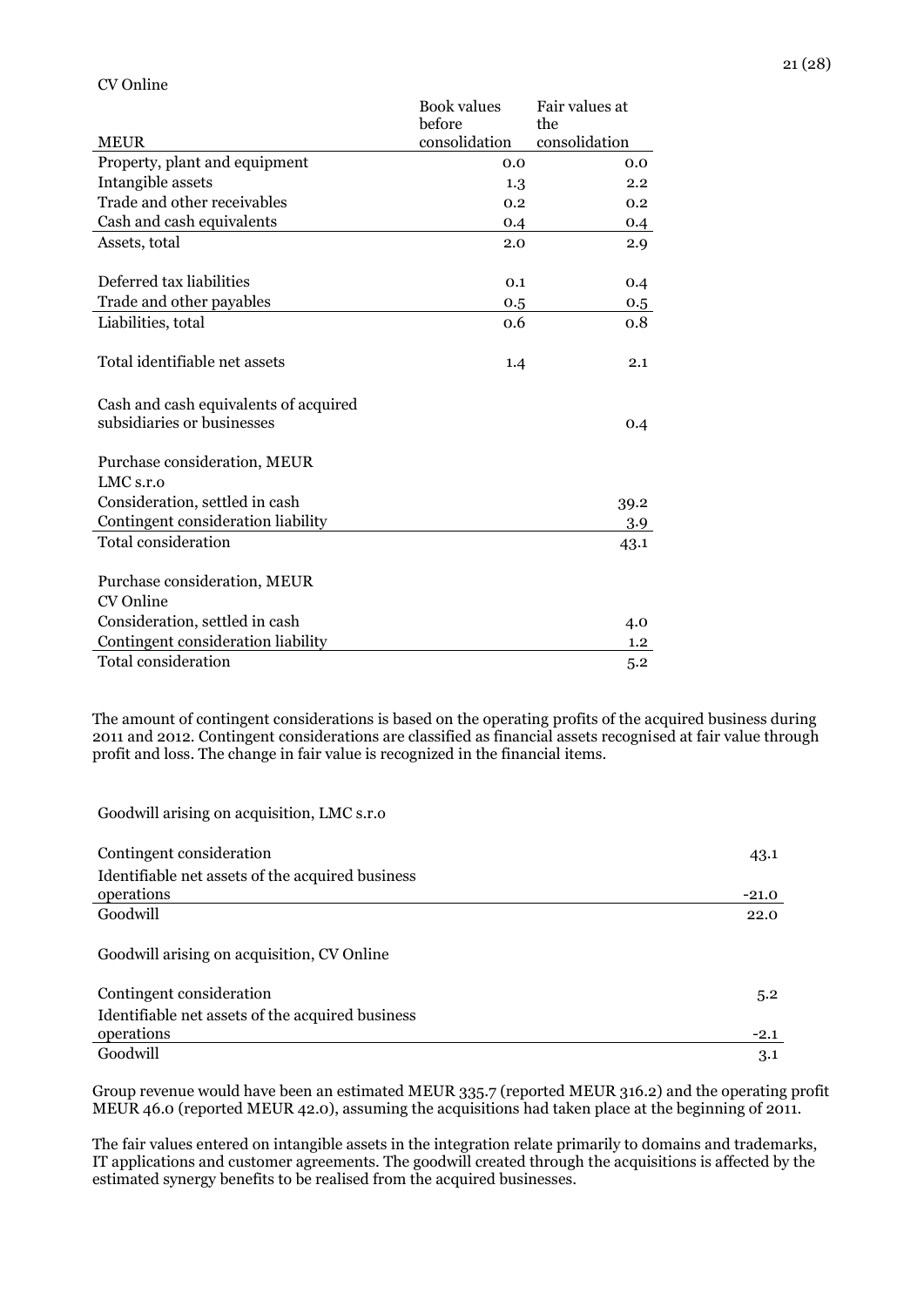|                                       | <b>Book values</b><br>before | Fair values at<br>the |
|---------------------------------------|------------------------------|-----------------------|
| <b>MEUR</b>                           | consolidation                | consolidation         |
| Property, plant and equipment         | 0.0                          | 0.0                   |
| Intangible assets                     | 1.3                          | 2.2                   |
| Trade and other receivables           | 0.2                          | 0.2                   |
| Cash and cash equivalents             | 0.4                          | 0.4                   |
| Assets, total                         | 2.0                          | 2.9                   |
| Deferred tax liabilities              | 0.1                          | 0.4                   |
| Trade and other payables              | 0.5                          | 0.5                   |
| Liabilities, total                    | 0.6                          | 0.8                   |
| Total identifiable net assets         | 1.4                          | 2.1                   |
| Cash and cash equivalents of acquired |                              |                       |
| subsidiaries or businesses            |                              | 0.4                   |
| Purchase consideration, MEUR          |                              |                       |
| $LMC$ s.r.o                           |                              |                       |
| Consideration, settled in cash        |                              | 39.2                  |
| Contingent consideration liability    |                              | 3.9                   |
| Total consideration                   |                              | 43.1                  |
| Purchase consideration, MEUR          |                              |                       |
| CV Online                             |                              |                       |
| Consideration, settled in cash        |                              | 4.0                   |
| Contingent consideration liability    |                              | $1.2\,$               |
| <b>Total consideration</b>            |                              | 5.2                   |

The amount of contingent considerations is based on the operating profits of the acquired business during 2011 and 2012. Contingent considerations are classified as financial assets recognised at fair value through profit and loss. The change in fair value is recognized in the financial items.

Goodwill arising on acquisition, LMC s.r.o

| Contingent consideration                                       | 43.1    |
|----------------------------------------------------------------|---------|
| Identifiable net assets of the acquired business<br>operations | $-21.0$ |
| Goodwill                                                       | 22.0    |
| Goodwill arising on acquisition, CV Online                     |         |
| Contingent consideration                                       | 5.2     |
| Identifiable net assets of the acquired business<br>operations | $-2.1$  |
| Goodwill                                                       | 3.1     |

Group revenue would have been an estimated MEUR 335.7 (reported MEUR 316.2) and the operating profit MEUR 46.0 (reported MEUR 42.0), assuming the acquisitions had taken place at the beginning of 2011.

The fair values entered on intangible assets in the integration relate primarily to domains and trademarks, IT applications and customer agreements. The goodwill created through the acquisitions is affected by the estimated synergy benefits to be realised from the acquired businesses.

#### CV Online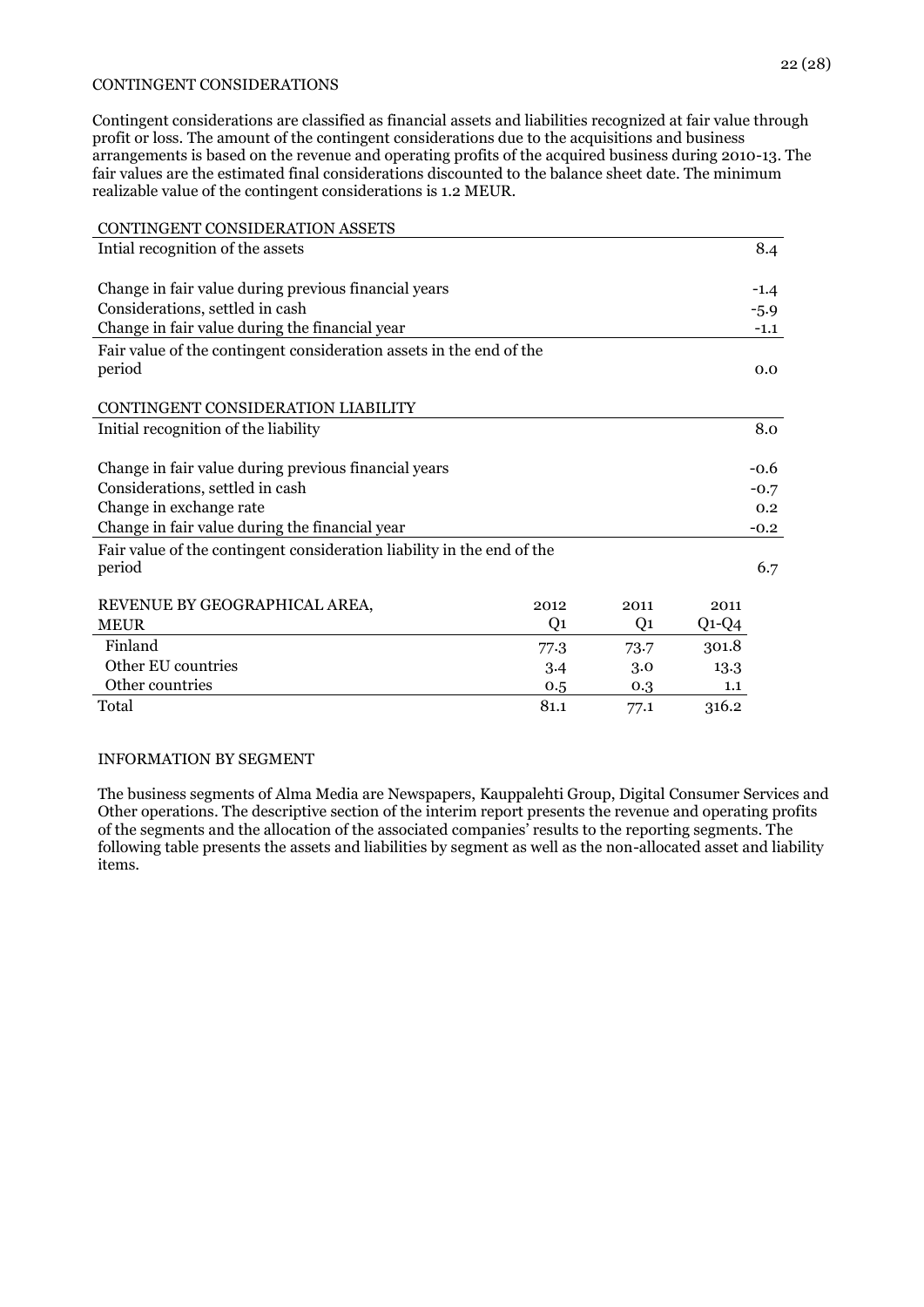#### 22 (28)

#### CONTINGENT CONSIDERATIONS

Contingent considerations are classified as financial assets and liabilities recognized at fair value through profit or loss. The amount of the contingent considerations due to the acquisitions and business arrangements is based on the revenue and operating profits of the acquired business during 2010-13. The fair values are the estimated final considerations discounted to the balance sheet date. The minimum realizable value of the contingent considerations is 1.2 MEUR.

| CONTINGENT CONSIDERATION ASSETS                                        |      |                |         |        |
|------------------------------------------------------------------------|------|----------------|---------|--------|
| Intial recognition of the assets                                       |      |                |         | 8.4    |
|                                                                        |      |                |         |        |
| Change in fair value during previous financial years                   |      |                |         | $-1.4$ |
| Considerations, settled in cash                                        |      |                |         | $-5.9$ |
| Change in fair value during the financial year                         |      |                |         | $-1.1$ |
| Fair value of the contingent consideration assets in the end of the    |      |                |         |        |
| period                                                                 |      |                |         | 0.0    |
|                                                                        |      |                |         |        |
| CONTINGENT CONSIDERATION LIABILITY                                     |      |                |         |        |
| Initial recognition of the liability                                   |      |                |         | 8.0    |
|                                                                        |      |                |         |        |
| Change in fair value during previous financial years                   |      |                |         | -0.6   |
| Considerations, settled in cash                                        |      |                |         | $-0.7$ |
| Change in exchange rate                                                |      |                |         | 0.2    |
| Change in fair value during the financial year                         |      |                |         | $-0.2$ |
| Fair value of the contingent consideration liability in the end of the |      |                |         |        |
| period                                                                 |      |                |         | 6.7    |
|                                                                        |      |                |         |        |
| REVENUE BY GEOGRAPHICAL AREA,                                          | 2012 | 2011           | 2011    |        |
| <b>MEUR</b>                                                            | Q1   | Q <sub>1</sub> | $Q1-Q4$ |        |
| Finland                                                                | 77.3 | 73.7           | 301.8   |        |
| Other EU countries                                                     | 3.4  | 3.0            | 13.3    |        |
| Other countries                                                        | 0.5  | 0.3            | 1.1     |        |
| Total                                                                  | 81.1 | 77.1           | 316.2   |        |

#### INFORMATION BY SEGMENT

The business segments of Alma Media are Newspapers, Kauppalehti Group, Digital Consumer Services and Other operations. The descriptive section of the interim report presents the revenue and operating profits of the segments and the allocation of the associated companies' results to the reporting segments. The following table presents the assets and liabilities by segment as well as the non-allocated asset and liability items.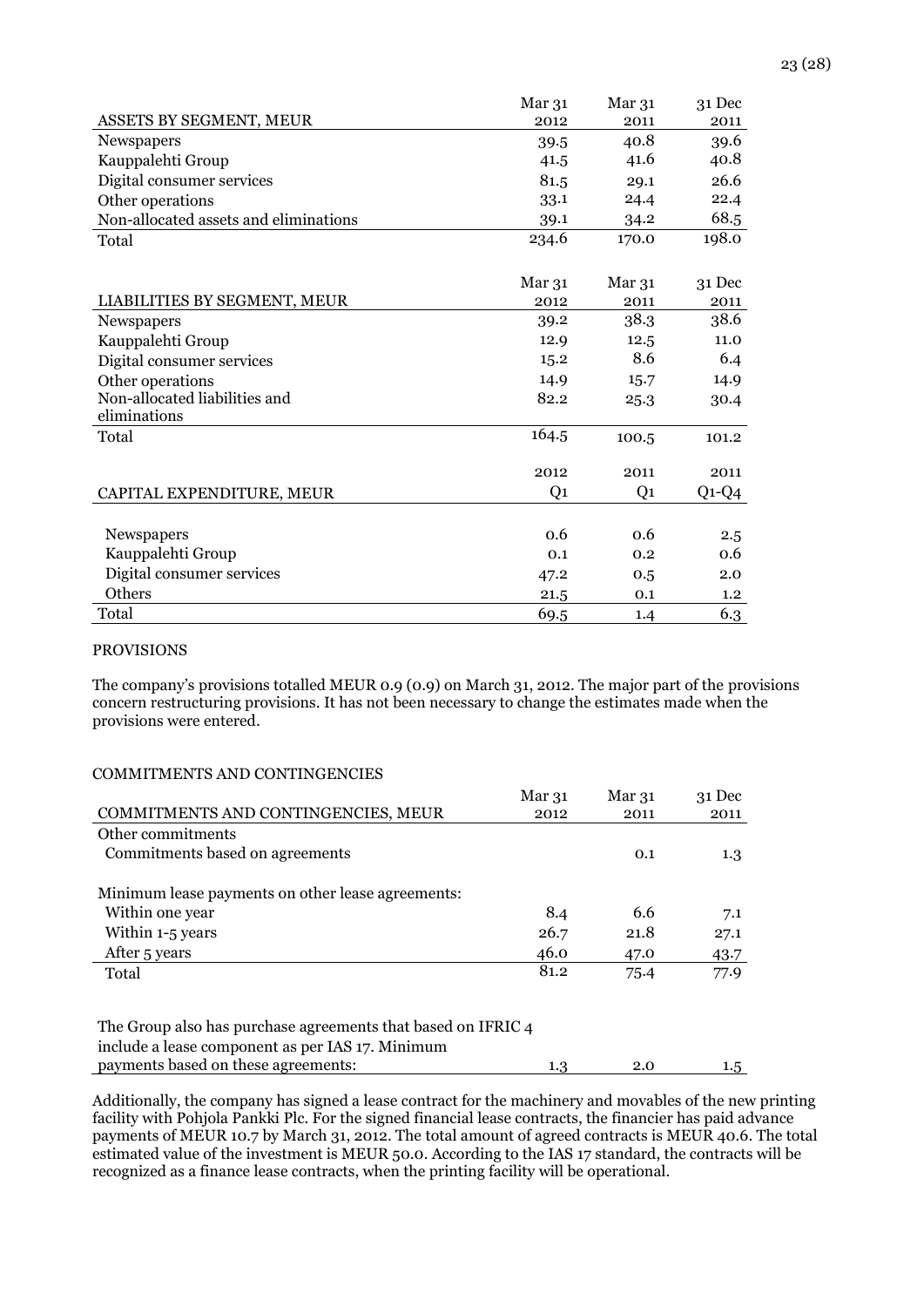|                                       | Mar 31 | Mar 31 | $31$ Dec |
|---------------------------------------|--------|--------|----------|
| ASSETS BY SEGMENT, MEUR               | 2012   | 2011   | 2011     |
| <b>Newspapers</b>                     | 39.5   | 40.8   | 39.6     |
| Kauppalehti Group                     | 41.5   | 41.6   | 40.8     |
| Digital consumer services             | 81.5   | 29.1   | 26.6     |
| Other operations                      | 33.1   | 24.4   | 22.4     |
| Non-allocated assets and eliminations | 39.1   | 34.2   | 68.5     |
| Total                                 | 234.6  | 170.0  | 198.0    |

|                               | Mar 31 | Mar 31 | 31 Dec  |
|-------------------------------|--------|--------|---------|
| LIABILITIES BY SEGMENT, MEUR  | 2012   | 2011   | 2011    |
| <b>Newspapers</b>             | 39.2   | 38.3   | 38.6    |
|                               |        |        |         |
| Kauppalehti Group             | 12.9   | 12.5   | 11.0    |
| Digital consumer services     | 15.2   | 8.6    | 6.4     |
| Other operations              | 14.9   | 15.7   | 14.9    |
| Non-allocated liabilities and | 82.2   | 25.3   | 30.4    |
| eliminations                  |        |        |         |
| Total                         | 164.5  | 100.5  | 101.2   |
|                               |        |        |         |
|                               | 2012   | 2011   | 2011    |
| CAPITAL EXPENDITURE, MEUR     | Q1     | Q1     | $Q1-Q4$ |
|                               |        |        |         |
| Newspapers                    | 0.6    | 0.6    | 2.5     |
| Kauppalehti Group             | 0.1    | 0.2    | 0.6     |
| Digital consumer services     | 47.2   | 0.5    | 2.0     |
| Others                        | 21.5   | 0.1    | 1.2     |
| Total                         | 69.5   | 1.4    | 6.3     |

#### PROVISIONS

The company's provisions totalled MEUR 0.9 (0.9) on March 31, 2012. The major part of the provisions concern restructuring provisions. It has not been necessary to change the estimates made when the provisions were entered.

### COMMITMENTS AND CONTINGENCIES

|                                                   | Mar 31 | Mar 31 | 31 Dec |
|---------------------------------------------------|--------|--------|--------|
| COMMITMENTS AND CONTINGENCIES, MEUR               | 2012   | 2011   | 2011   |
| Other commitments                                 |        |        |        |
| Commitments based on agreements                   |        | 0.1    | 1.3    |
| Minimum lease payments on other lease agreements: |        |        |        |
| Within one year                                   | 8.4    | 6.6    | 7.1    |
| Within 1-5 years                                  | 26.7   | 21.8   | 27.1   |
| After 5 years                                     | 46.0   | 47.0   | 43.7   |
| Total                                             | 81.2   | 75.4   | 77.9   |
|                                                   |        |        |        |

| The Group also has purchase agreements that based on IFRIC 4 |     |         |
|--------------------------------------------------------------|-----|---------|
| include a lease component as per IAS 17. Minimum             |     |         |
| payments based on these agreements:                          | 2.0 | $1.5\,$ |

Additionally, the company has signed a lease contract for the machinery and movables of the new printing facility with Pohjola Pankki Plc. For the signed financial lease contracts, the financier has paid advance payments of MEUR 10.7 by March 31, 2012. The total amount of agreed contracts is MEUR 40.6. The total estimated value of the investment is MEUR 50.0. According to the IAS 17 standard, the contracts will be recognized as a finance lease contracts, when the printing facility will be operational.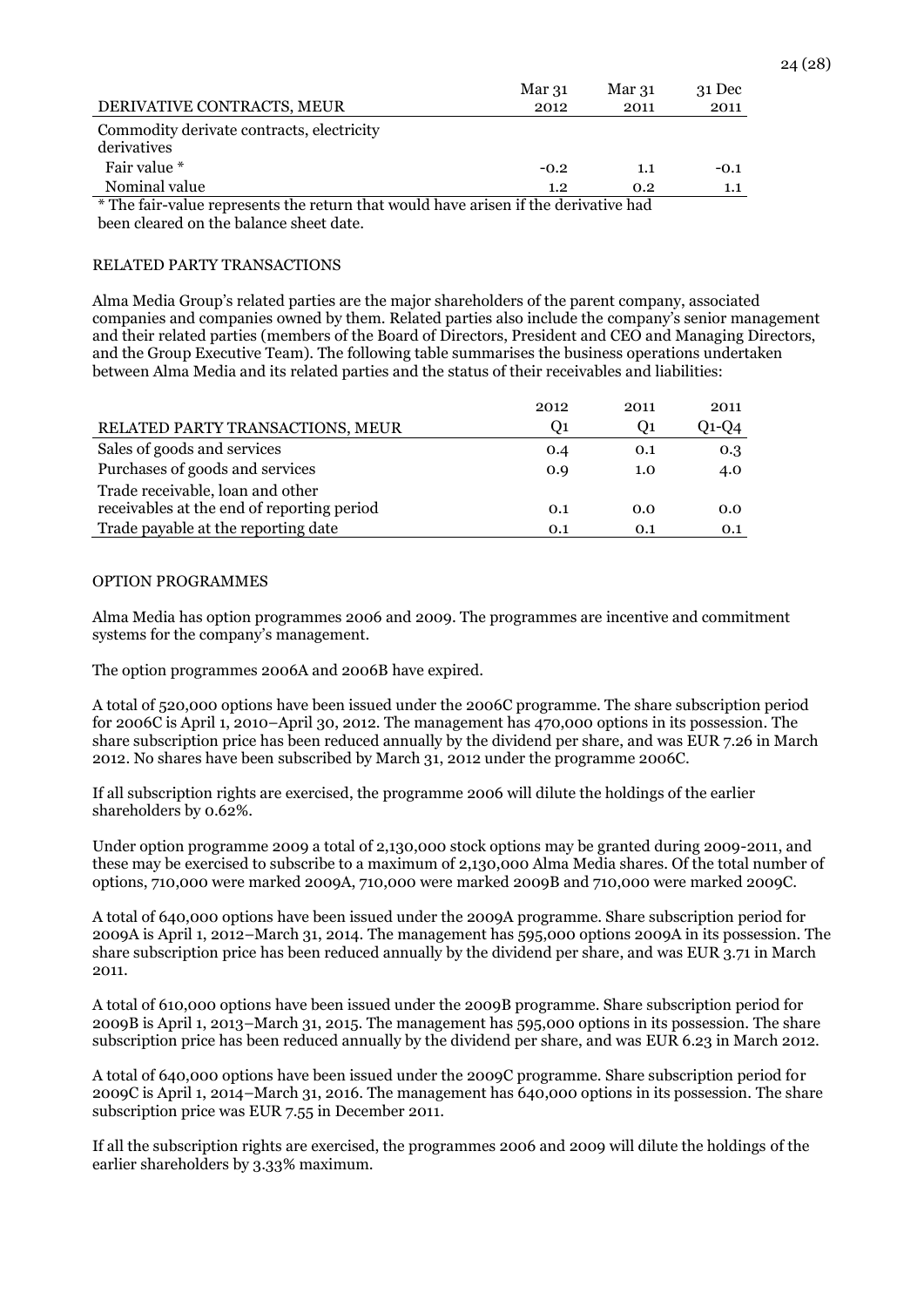|                                                                                     | Mar 31 | Mar 31 | 31 Dec |
|-------------------------------------------------------------------------------------|--------|--------|--------|
| DERIVATIVE CONTRACTS, MEUR                                                          | 2012   | 2011   | 2011   |
| Commodity derivate contracts, electricity                                           |        |        |        |
| derivatives                                                                         |        |        |        |
| Fair value *                                                                        | $-0.2$ | 1.1    | $-0.1$ |
| Nominal value                                                                       | 1.2    | 0.2    | 1.1    |
| * The fair-value represents the return that would have arisen if the derivative had |        |        |        |
| been cleared on the balance sheet date.                                             |        |        |        |

RELATED PARTY TRANSACTIONS

Alma Media Group's related parties are the major shareholders of the parent company, associated companies and companies owned by them. Related parties also include the company's senior management and their related parties (members of the Board of Directors, President and CEO and Managing Directors, and the Group Executive Team). The following table summarises the business operations undertaken between Alma Media and its related parties and the status of their receivables and liabilities:

|                                            | 2012 | 2011 | 2011  |
|--------------------------------------------|------|------|-------|
| RELATED PARTY TRANSACTIONS, MEUR           | O1.  | U1   | 01-04 |
| Sales of goods and services                | 0.4  | 0.1  | 0.3   |
| Purchases of goods and services            | 0.9  | 1.0  | 4.0   |
| Trade receivable, loan and other           |      |      |       |
| receivables at the end of reporting period | 0.1  | 0.0  | 0.0   |
| Trade payable at the reporting date        | 0.1  | 0.1  | 0.1   |

#### OPTION PROGRAMMES

Alma Media has option programmes 2006 and 2009. The programmes are incentive and commitment systems for the company's management.

The option programmes 2006A and 2006B have expired.

A total of 520,000 options have been issued under the 2006C programme. The share subscription period for 2006C is April 1, 2010–April 30, 2012. The management has 470,000 options in its possession. The share subscription price has been reduced annually by the dividend per share, and was EUR 7.26 in March 2012. No shares have been subscribed by March 31, 2012 under the programme 2006C.

If all subscription rights are exercised, the programme 2006 will dilute the holdings of the earlier shareholders by 0.62%.

Under option programme 2009 a total of 2,130,000 stock options may be granted during 2009-2011, and these may be exercised to subscribe to a maximum of 2,130,000 Alma Media shares. Of the total number of options, 710,000 were marked 2009A, 710,000 were marked 2009B and 710,000 were marked 2009C.

A total of 640,000 options have been issued under the 2009A programme. Share subscription period for 2009A is April 1, 2012–March 31, 2014. The management has 595,000 options 2009A in its possession. The share subscription price has been reduced annually by the dividend per share, and was EUR 3.71 in March 2011.

A total of 610,000 options have been issued under the 2009B programme. Share subscription period for 2009B is April 1, 2013–March 31, 2015. The management has 595,000 options in its possession. The share subscription price has been reduced annually by the dividend per share, and was EUR 6.23 in March 2012.

A total of 640,000 options have been issued under the 2009C programme. Share subscription period for 2009C is April 1, 2014–March 31, 2016. The management has 640,000 options in its possession. The share subscription price was EUR 7.55 in December 2011.

If all the subscription rights are exercised, the programmes 2006 and 2009 will dilute the holdings of the earlier shareholders by 3.33% maximum.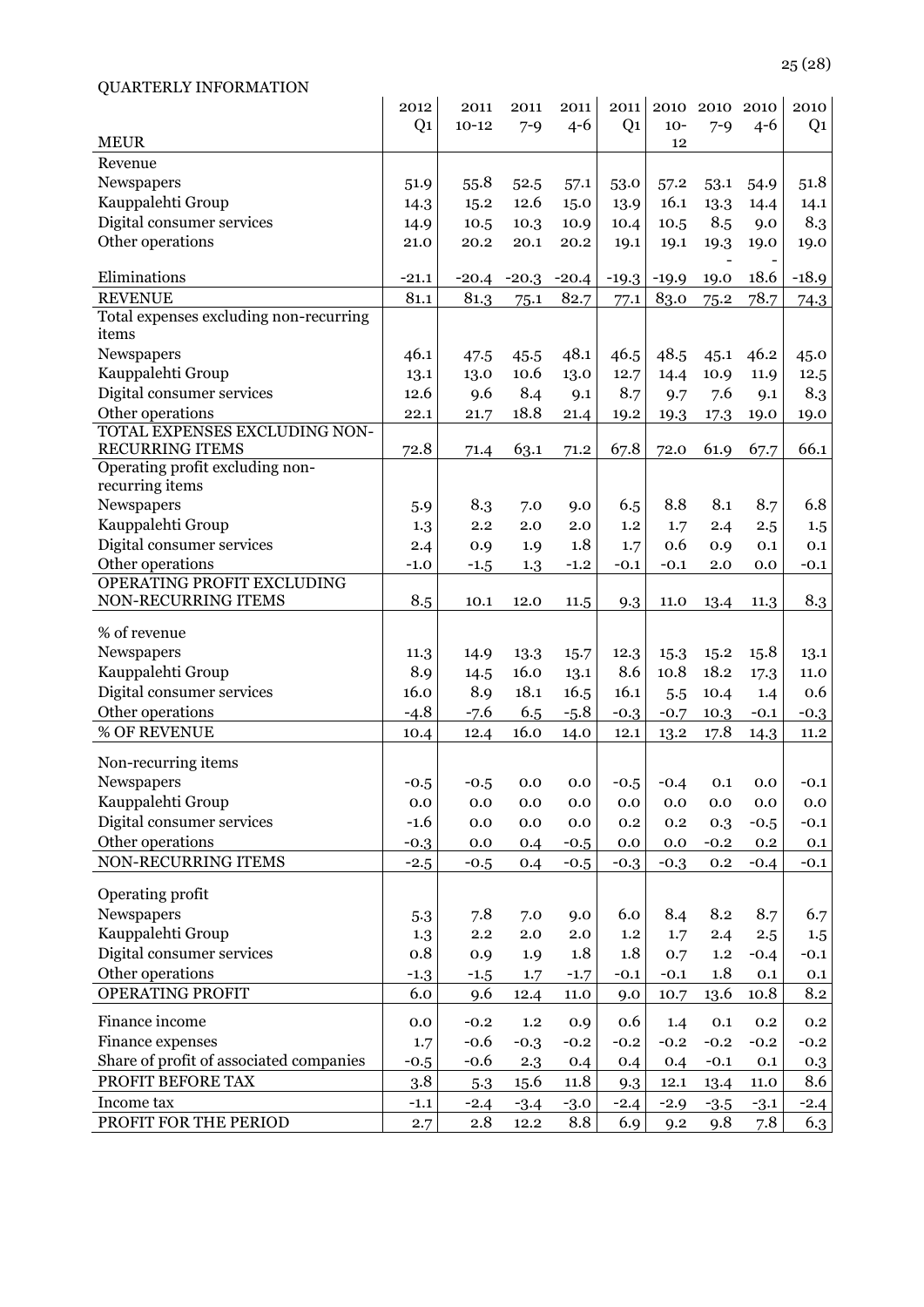| <b>QUARTERLY INFORMATION</b>                     |                |           |         |         |                |         |           |         |                |
|--------------------------------------------------|----------------|-----------|---------|---------|----------------|---------|-----------|---------|----------------|
|                                                  | 2012           | 2011      | 2011    | 2011    | 2011           |         | 2010 2010 | 2010    | 2010           |
|                                                  | Q <sub>1</sub> | $10 - 12$ | $7 - 9$ | $4 - 6$ | Q <sub>1</sub> | $10-$   | $7 - 9$   | $4 - 6$ | Q <sub>1</sub> |
| <b>MEUR</b>                                      |                |           |         |         |                | 12      |           |         |                |
| Revenue                                          |                |           |         |         |                |         |           |         |                |
| Newspapers                                       | 51.9           | 55.8      | 52.5    | 57.1    | 53.0           | 57.2    | 53.1      | 54.9    | 51.8           |
| Kauppalehti Group                                | 14.3           | 15.2      | 12.6    | 15.0    | 13.9           | 16.1    | 13.3      | 14.4    | 14.1           |
| Digital consumer services                        | 14.9           | 10.5      | 10.3    | 10.9    | 10.4           | 10.5    | 8.5       | 9.0     | 8.3            |
| Other operations                                 | 21.0           | 20.2      | 20.1    | 20.2    | 19.1           | 19.1    | 19.3      | 19.0    | 19.0           |
|                                                  |                |           |         |         |                |         |           |         |                |
| Eliminations                                     | $-21.1$        | $-20.4$   | $-20.3$ | $-20.4$ | $-19.3$        | $-19.9$ | 19.0      | 18.6    | $-18.9$        |
| <b>REVENUE</b>                                   | 81.1           | 81.3      | 75.1    | 82.7    | 77.1           | 83.0    | 75.2      | 78.7    | 74.3           |
| Total expenses excluding non-recurring<br>items  |                |           |         |         |                |         |           |         |                |
|                                                  |                |           |         |         |                |         |           |         |                |
| Newspapers                                       | 46.1           | 47.5      | 45.5    | 48.1    | 46.5           | 48.5    | 45.1      | 46.2    | 45.0           |
| Kauppalehti Group                                | 13.1           | 13.0      | 10.6    | 13.0    | 12.7           | 14.4    | 10.9      | 11.9    | 12.5           |
| Digital consumer services                        | 12.6           | 9.6       | 8.4     | 9.1     | 8.7            | 9.7     | 7.6       | 9.1     | 8.3            |
| Other operations                                 | 22.1           | 21.7      | 18.8    | 21.4    | 19.2           | 19.3    | 17.3      | 19.0    | 19.0           |
| TOTAL EXPENSES EXCLUDING NON-<br>RECURRING ITEMS | 72.8           |           |         |         | 67.8           |         | 61.9      |         | 66.1           |
| Operating profit excluding non-                  |                | 71.4      | 63.1    | 71.2    |                | 72.0    |           | 67.7    |                |
| recurring items                                  |                |           |         |         |                |         |           |         |                |
| Newspapers                                       | 5.9            | 8.3       | 7.0     | 9.0     | 6.5            | 8.8     | 8.1       | 8.7     | 6.8            |
| Kauppalehti Group                                | 1.3            | 2.2       | 2.0     | 2.0     | 1.2            | 1.7     | 2.4       | 2.5     | 1.5            |
| Digital consumer services                        | 2.4            | 0.9       | 1.9     | 1.8     | 1.7            | 0.6     | 0.9       | 0.1     | 0.1            |
| Other operations                                 | $-1.0$         |           | 1.3     | $-1.2$  | $-0.1$         | $-0.1$  | 2.0       | 0.0     | $-0.1$         |
| OPERATING PROFIT EXCLUDING                       |                | $-1.5$    |         |         |                |         |           |         |                |
| NON-RECURRING ITEMS                              | 8.5            | 10.1      | 12.0    | 11.5    | 9.3            | 11.0    | 13.4      | 11.3    | 8.3            |
|                                                  |                |           |         |         |                |         |           |         |                |
| % of revenue                                     |                |           |         |         |                |         |           |         |                |
| Newspapers                                       | 11.3           | 14.9      | 13.3    | 15.7    | 12.3           | 15.3    | 15.2      | 15.8    | 13.1           |
| Kauppalehti Group                                | 8.9            | 14.5      | 16.0    | 13.1    | 8.6            | 10.8    | 18.2      | 17.3    | 11.0           |
| Digital consumer services                        | 16.0           | 8.9       | 18.1    | 16.5    | 16.1           | 5.5     | 10.4      | 1.4     | 0.6            |
| Other operations                                 | $-4.8$         | $-7.6$    | 6.5     | $-5.8$  | $-0.3$         | $-0.7$  | 10.3      | $-0.1$  | $-0.3$         |
| % OF REVENUE                                     | 10.4           | 12.4      | 16.0    | 14.0    | 12.1           | 13.2    | 17.8      | 14.3    | 11.2           |
| Non-recurring items                              |                |           |         |         |                |         |           |         |                |
| Newspapers                                       | $-0.5$         | $-0.5$    | 0.0     | 0.0     | $-0.5$         | $-0.4$  | 0.1       | $0.0\,$ | $-0.1$         |
| Kauppalehti Group                                |                |           |         |         | 0.0            |         |           |         |                |
| Digital consumer services                        | 0.0            | 0.0       | 0.0     | 0.0     |                | 0.0     | 0.0       | 0.0     | 0.0            |
| Other operations                                 | $-1.6$         | 0.0       | 0.0     | 0.0     | 0.2            | 0.2     | 0.3       | $-0.5$  | $-0.1$         |
| NON-RECURRING ITEMS                              | $-0.3$         | 0.0       | 0.4     | $-0.5$  | 0.0            | 0.0     | $-0.2$    | $0.2\,$ | 0.1            |
|                                                  | $-2.5$         | $-0.5$    | 0.4     | $-0.5$  | $-0.3$         | $-0.3$  | 0.2       | $-0.4$  | $-0.1$         |
| Operating profit                                 |                |           |         |         |                |         |           |         |                |
| Newspapers                                       | 5.3            | 7.8       | 7.0     | 9.0     | 6.0            | 8.4     | 8.2       | 8.7     | 6.7            |
| Kauppalehti Group                                | 1.3            | 2.2       | 2.0     | 2.0     | 1.2            | 1.7     | 2.4       | 2.5     | 1.5            |
| Digital consumer services                        | 0.8            | 0.9       | 1.9     | 1.8     | 1.8            | 0.7     | 1.2       | $-0.4$  | $-0.1$         |
| Other operations                                 | $-1.3$         | $-1.5$    | 1.7     | $-1.7$  | $-0.1$         | $-0.1$  | 1.8       | 0.1     | 0.1            |
| OPERATING PROFIT                                 | 6.0            | 9.6       | 12.4    | 11.0    | 9.0            | 10.7    | 13.6      | 10.8    | 8.2            |
|                                                  |                |           |         |         |                |         |           |         |                |
| Finance income                                   | 0.0            | $-0.2$    | 1.2     | 0.9     | 0.6            | 1.4     | 0.1       | 0.2     | 0.2            |
| Finance expenses                                 | 1.7            | $-0.6$    | $-0.3$  | $-0.2$  | $-0.2$         | $-0.2$  | $-0.2$    | $-0.2$  | $-0.2$         |
| Share of profit of associated companies          | $-0.5$         | $-0.6$    | 2.3     | 0.4     | 0.4            | 0.4     | $-0.1$    | 0.1     | 0.3            |
| PROFIT BEFORE TAX                                | 3.8            | 5.3       | 15.6    | 11.8    | 9.3            | 12.1    | 13.4      | 11.0    | 8.6            |
| Income tax                                       | $-1.1$         | $-2.4$    | $-3.4$  | $-3.0$  | $-2.4$         | $-2.9$  | $-3.5$    | $-3.1$  | $-2.4$         |
| PROFIT FOR THE PERIOD                            | 2.7            | $2.8\,$   | 12.2    | 8.8     | 6.9            | 9.2     | 9.8       | 7.8     | 6.3            |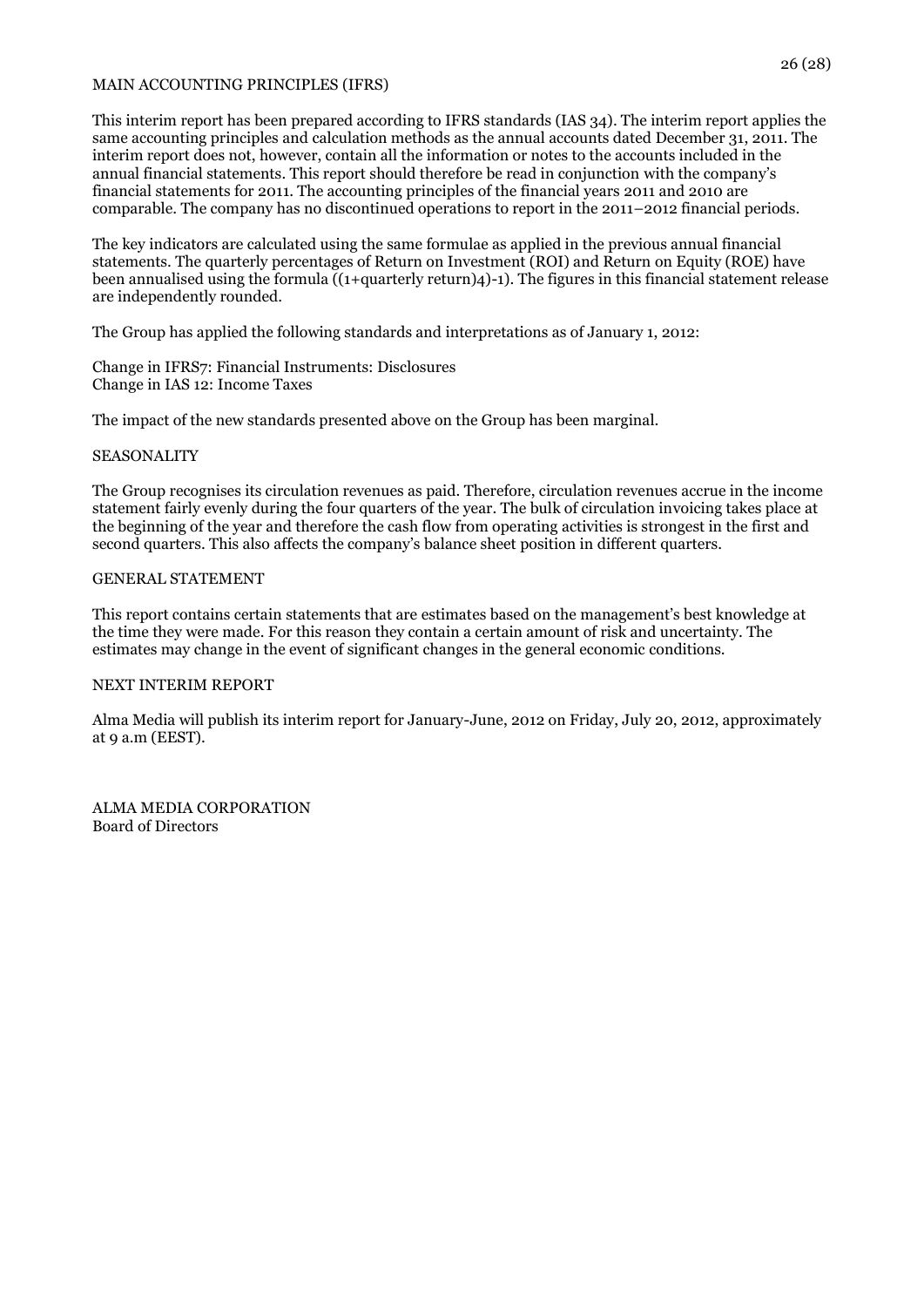#### MAIN ACCOUNTING PRINCIPLES (IFRS)

This interim report has been prepared according to IFRS standards (IAS 34). The interim report applies the same accounting principles and calculation methods as the annual accounts dated December 31, 2011. The interim report does not, however, contain all the information or notes to the accounts included in the annual financial statements. This report should therefore be read in conjunction with the company's financial statements for 2011. The accounting principles of the financial years 2011 and 2010 are comparable. The company has no discontinued operations to report in the 2011–2012 financial periods.

The key indicators are calculated using the same formulae as applied in the previous annual financial statements. The quarterly percentages of Return on Investment (ROI) and Return on Equity (ROE) have been annualised using the formula ((1+quarterly return)4)-1). The figures in this financial statement release are independently rounded.

The Group has applied the following standards and interpretations as of January 1, 2012:

Change in IFRS7: Financial Instruments: Disclosures Change in IAS 12: Income Taxes

The impact of the new standards presented above on the Group has been marginal.

#### **SEASONALITY**

The Group recognises its circulation revenues as paid. Therefore, circulation revenues accrue in the income statement fairly evenly during the four quarters of the year. The bulk of circulation invoicing takes place at the beginning of the year and therefore the cash flow from operating activities is strongest in the first and second quarters. This also affects the company's balance sheet position in different quarters.

#### GENERAL STATEMENT

This report contains certain statements that are estimates based on the management's best knowledge at the time they were made. For this reason they contain a certain amount of risk and uncertainty. The estimates may change in the event of significant changes in the general economic conditions.

#### NEXT INTERIM REPORT

Alma Media will publish its interim report for January-June, 2012 on Friday, July 20, 2012, approximately at 9 a.m (EEST).

ALMA MEDIA CORPORATION Board of Directors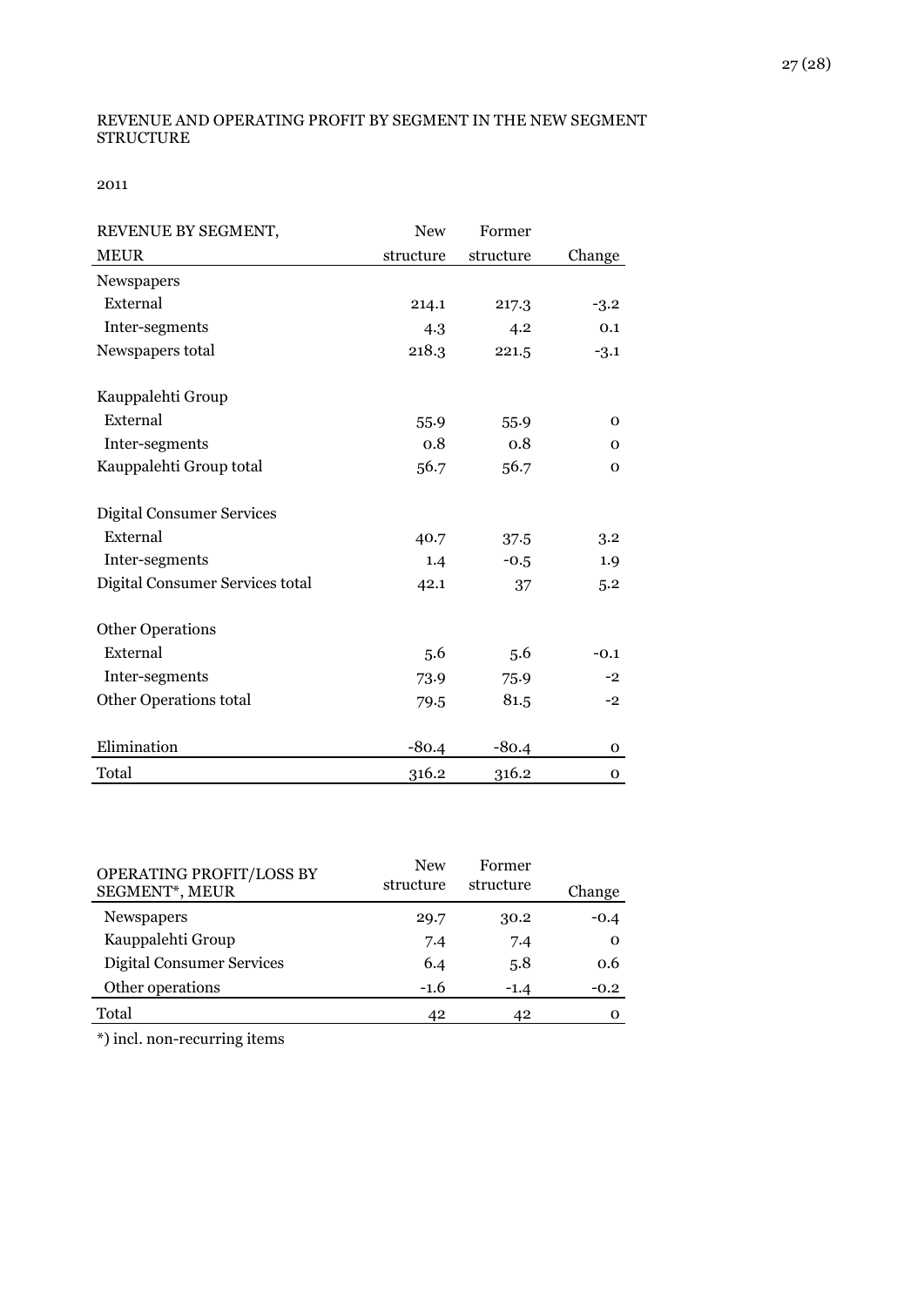#### REVENUE AND OPERATING PROFIT BY SEGMENT IN THE NEW SEGMENT STRUCTURE

2011

| REVENUE BY SEGMENT,              | <b>New</b> | Former    |              |
|----------------------------------|------------|-----------|--------------|
| <b>MEUR</b>                      | structure  | structure | Change       |
| Newspapers                       |            |           |              |
| External                         | 214.1      | 217.3     | $-3.2$       |
| Inter-segments                   | 4.3        | 4.2       | 0.1          |
| Newspapers total                 | 218.3      | 221.5     | $-3.1$       |
| Kauppalehti Group                |            |           |              |
| External                         | 55.9       | 55.9      | $\mathbf{O}$ |
| Inter-segments                   | 0.8        | 0.8       | $\mathbf{O}$ |
| Kauppalehti Group total          | 56.7       | 56.7      | $\mathbf{O}$ |
| <b>Digital Consumer Services</b> |            |           |              |
| External                         | 40.7       | 37.5      | 3.2          |
| Inter-segments                   | 1.4        | $-0.5$    | 1.9          |
| Digital Consumer Services total  | 42.1       | 37        | 5.2          |
| <b>Other Operations</b>          |            |           |              |
| External                         | 5.6        | 5.6       | $-0.1$       |
| Inter-segments                   | 73.9       | 75.9      | $-2$         |
| Other Operations total           | 79.5       | 81.5      | $-2$         |
| Elimination                      | $-80.4$    | $-80.4$   | 0            |
| Total                            | 316.2      | 316.2     | $\mathbf{O}$ |

| OPERATING PROFIT/LOSS BY<br>SEGMENT*, MEUR | <b>New</b><br>structure | Former<br>structure | Change   |
|--------------------------------------------|-------------------------|---------------------|----------|
| <b>Newspapers</b>                          | 29.7                    | 30.2                | $-0.4$   |
| Kauppalehti Group                          | 7.4                     | 7.4                 | $\Omega$ |
| <b>Digital Consumer Services</b>           | 6.4                     | 5.8                 | 0.6      |
| Other operations                           | $-1.6$                  | $-1.4$              | $-0.2$   |
| Total                                      | 42                      | 42                  |          |

\*) incl. non-recurring items